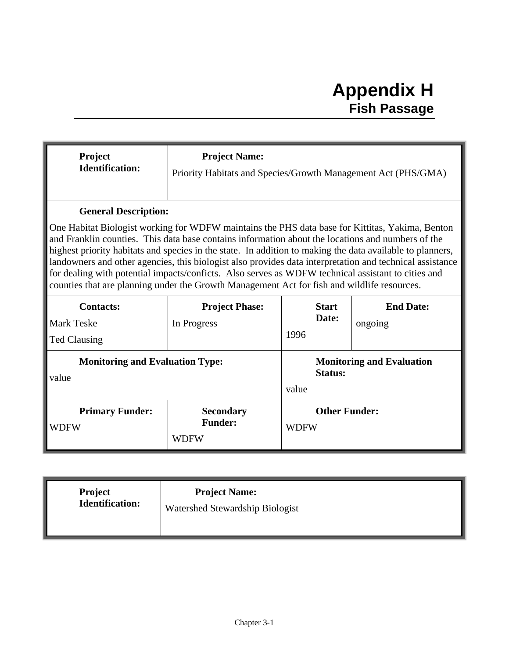## **Appendix H Fish Passage**

| Project<br><b>Identification:</b>                                                                                                                                                                                                                                                                                                                                                                                                                                                                                                                                                                                                  | <b>Project Name:</b><br>Priority Habitats and Species/Growth Management Act (PHS/GMA) |                                                             |         |  |  |
|------------------------------------------------------------------------------------------------------------------------------------------------------------------------------------------------------------------------------------------------------------------------------------------------------------------------------------------------------------------------------------------------------------------------------------------------------------------------------------------------------------------------------------------------------------------------------------------------------------------------------------|---------------------------------------------------------------------------------------|-------------------------------------------------------------|---------|--|--|
| <b>General Description:</b>                                                                                                                                                                                                                                                                                                                                                                                                                                                                                                                                                                                                        |                                                                                       |                                                             |         |  |  |
| One Habitat Biologist working for WDFW maintains the PHS data base for Kittitas, Yakima, Benton<br>and Franklin counties. This data base contains information about the locations and numbers of the<br>highest priority habitats and species in the state. In addition to making the data available to planners,<br>landowners and other agencies, this biologist also provides data interpretation and technical assistance<br>for dealing with potential impacts/conficts. Also serves as WDFW technical assistant to cities and<br>counties that are planning under the Growth Management Act for fish and wildlife resources. |                                                                                       |                                                             |         |  |  |
| <b>Contacts:</b>                                                                                                                                                                                                                                                                                                                                                                                                                                                                                                                                                                                                                   | <b>Project Phase:</b>                                                                 | <b>Start</b><br><b>End Date:</b>                            |         |  |  |
| <b>Mark Teske</b>                                                                                                                                                                                                                                                                                                                                                                                                                                                                                                                                                                                                                  | In Progress                                                                           | Date:                                                       | ongoing |  |  |
| <b>Ted Clausing</b>                                                                                                                                                                                                                                                                                                                                                                                                                                                                                                                                                                                                                |                                                                                       | 1996                                                        |         |  |  |
| <b>Monitoring and Evaluation Type:</b><br>value                                                                                                                                                                                                                                                                                                                                                                                                                                                                                                                                                                                    |                                                                                       | <b>Monitoring and Evaluation</b><br><b>Status:</b><br>value |         |  |  |
| <b>Primary Funder:</b><br><b>WDFW</b>                                                                                                                                                                                                                                                                                                                                                                                                                                                                                                                                                                                              | <b>Secondary</b><br><b>Funder:</b><br><b>WDFW</b>                                     | <b>Other Funder:</b><br><b>WDFW</b>                         |         |  |  |
|                                                                                                                                                                                                                                                                                                                                                                                                                                                                                                                                                                                                                                    |                                                                                       |                                                             |         |  |  |
| Project                                                                                                                                                                                                                                                                                                                                                                                                                                                                                                                                                                                                                            | <b>Project Name:</b>                                                                  |                                                             |         |  |  |

| <b>Project</b>         | <b>Project Name:</b>            |
|------------------------|---------------------------------|
| <b>Identification:</b> | Watershed Stewardship Biologist |
|                        |                                 |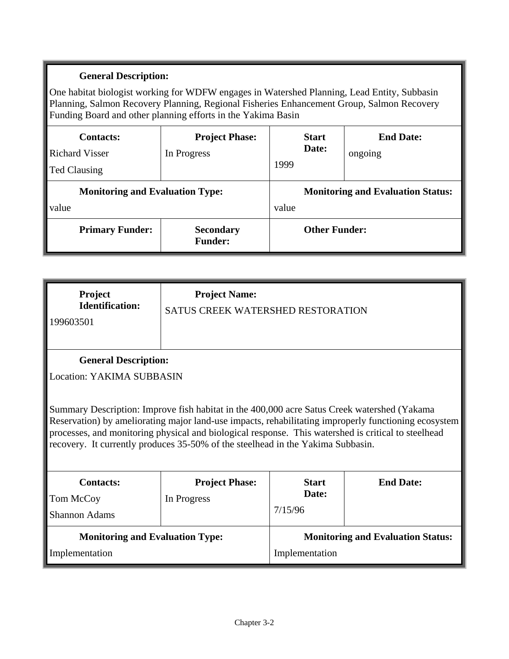One habitat biologist working for WDFW engages in Watershed Planning, Lead Entity, Subbasin Planning, Salmon Recovery Planning, Regional Fisheries Enhancement Group, Salmon Recovery Funding Board and other planning efforts in the Yakima Basin

| <b>Contacts:</b><br><b>Richard Visser</b><br>Ted Clausing | <b>Project Phase:</b><br>In Progress | 1999                                     | <b>Start</b><br>Date: | <b>End Date:</b><br>ongoing |
|-----------------------------------------------------------|--------------------------------------|------------------------------------------|-----------------------|-----------------------------|
| <b>Monitoring and Evaluation Type:</b>                    |                                      | <b>Monitoring and Evaluation Status:</b> |                       |                             |
| value                                                     |                                      | value                                    |                       |                             |
| <b>Primary Funder:</b>                                    | <b>Secondary</b><br><b>Funder:</b>   | <b>Other Funder:</b>                     |                       |                             |

| Project<br><b>Identification:</b><br>199603501                                                                                                                                                                                                                                                                                                                                                | <b>Project Name:</b><br>SATUS CREEK WATERSHED RESTORATION       |                                          |                  |  |  |
|-----------------------------------------------------------------------------------------------------------------------------------------------------------------------------------------------------------------------------------------------------------------------------------------------------------------------------------------------------------------------------------------------|-----------------------------------------------------------------|------------------------------------------|------------------|--|--|
|                                                                                                                                                                                                                                                                                                                                                                                               | <b>General Description:</b><br><b>Location: YAKIMA SUBBASIN</b> |                                          |                  |  |  |
| Summary Description: Improve fish habitat in the 400,000 acre Satus Creek watershed (Yakama<br>Reservation) by ameliorating major land-use impacts, rehabilitating improperly functioning ecosystem<br>processes, and monitoring physical and biological response. This watershed is critical to steelhead<br>recovery. It currently produces 35-50% of the steelhead in the Yakima Subbasin. |                                                                 |                                          |                  |  |  |
| <b>Contacts:</b>                                                                                                                                                                                                                                                                                                                                                                              | <b>Project Phase:</b>                                           | <b>Start</b>                             | <b>End Date:</b> |  |  |
| Tom McCoy                                                                                                                                                                                                                                                                                                                                                                                     | In Progress                                                     | Date:                                    |                  |  |  |
| <b>Shannon Adams</b>                                                                                                                                                                                                                                                                                                                                                                          |                                                                 | 7/15/96                                  |                  |  |  |
| <b>Monitoring and Evaluation Type:</b>                                                                                                                                                                                                                                                                                                                                                        |                                                                 | <b>Monitoring and Evaluation Status:</b> |                  |  |  |
| Implementation                                                                                                                                                                                                                                                                                                                                                                                |                                                                 | Implementation                           |                  |  |  |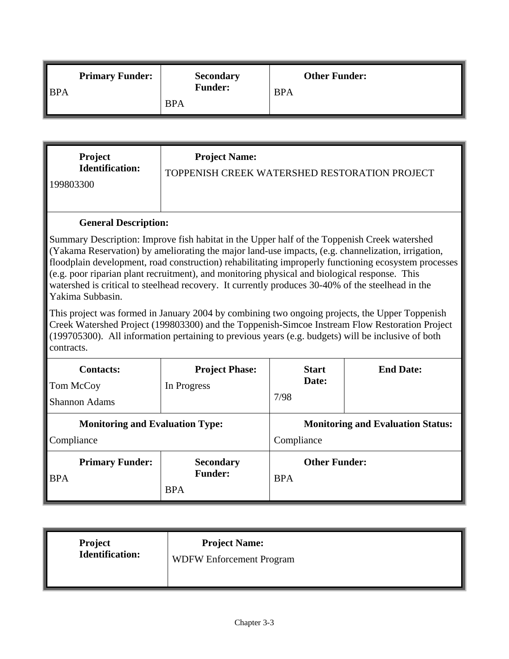|                    | <b>Primary Funder:</b> | <b>Secondary</b> | <b>Other Funder:</b> |
|--------------------|------------------------|------------------|----------------------|
| $\blacksquare$ BPA |                        | <b>Funder:</b>   | <b>BPA</b>           |
|                    |                        | <b>BPA</b>       |                      |

| <b>Project</b>         | <b>Project Name:</b>                          |
|------------------------|-----------------------------------------------|
| <b>Identification:</b> | TOPPENISH CREEK WATERSHED RESTORATION PROJECT |
| 199803300              |                                               |

Summary Description: Improve fish habitat in the Upper half of the Toppenish Creek watershed (Yakama Reservation) by ameliorating the major land-use impacts, (e.g. channelization, irrigation, floodplain development, road construction) rehabilitating improperly functioning ecosystem processes (e.g. poor riparian plant recruitment), and monitoring physical and biological response. This watershed is critical to steelhead recovery. It currently produces 30-40% of the steelhead in the Yakima Subbasin.

This project was formed in January 2004 by combining two ongoing projects, the Upper Toppenish Creek Watershed Project (199803300) and the Toppenish-Simcoe Instream Flow Restoration Project (199705300). All information pertaining to previous years (e.g. budgets) will be inclusive of both contracts.

| <b>Contacts:</b><br>Tom McCoy<br><b>Shannon Adams</b> | <b>Project Phase:</b><br>In Progress             | <b>Start</b><br>Date:<br>7/98                          | <b>End Date:</b> |
|-------------------------------------------------------|--------------------------------------------------|--------------------------------------------------------|------------------|
| <b>Monitoring and Evaluation Type:</b><br>Compliance  |                                                  | <b>Monitoring and Evaluation Status:</b><br>Compliance |                  |
| <b>Primary Funder:</b><br><b>BPA</b>                  | <b>Secondary</b><br><b>Funder:</b><br><b>BPA</b> | <b>Other Funder:</b><br><b>BPA</b>                     |                  |

| Project<br>Identification:<br><b>Project Name:</b><br><b>WDFW Enforcement Program</b> |
|---------------------------------------------------------------------------------------|
|---------------------------------------------------------------------------------------|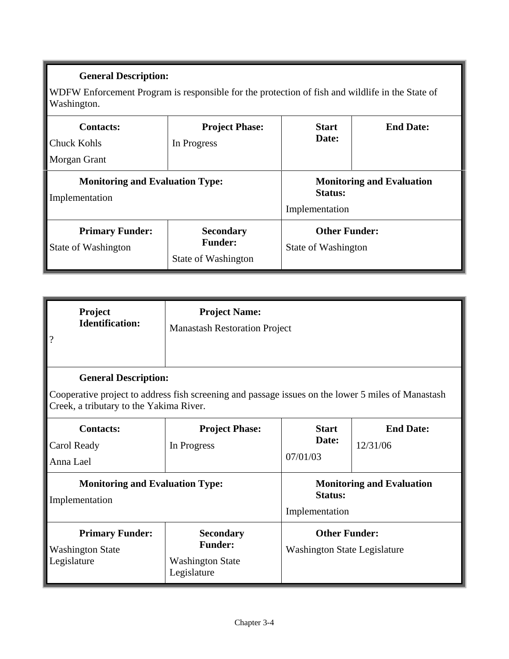WDFW Enforcement Program is responsible for the protection of fish and wildlife in the State of Washington.

| <b>Contacts:</b><br><b>Chuck Kohls</b><br>Morgan Grant   | <b>Project Phase:</b><br>In Progress                      | <b>Start</b><br>Date:                                                | <b>End Date:</b> |
|----------------------------------------------------------|-----------------------------------------------------------|----------------------------------------------------------------------|------------------|
| <b>Monitoring and Evaluation Type:</b><br>Implementation |                                                           | <b>Monitoring and Evaluation</b><br><b>Status:</b><br>Implementation |                  |
| <b>Primary Funder:</b><br>State of Washington            | <b>Secondary</b><br><b>Funder:</b><br>State of Washington | <b>Other Funder:</b><br>State of Washington                          |                  |

| Project<br><b>Identification:</b><br>$\overline{\cdot}$          | <b>Project Name:</b><br><b>Manastash Restoration Project</b>                                                                                                                 |                                                                      |                              |  |  |
|------------------------------------------------------------------|------------------------------------------------------------------------------------------------------------------------------------------------------------------------------|----------------------------------------------------------------------|------------------------------|--|--|
|                                                                  | <b>General Description:</b><br>Cooperative project to address fish screening and passage issues on the lower 5 miles of Manastash<br>Creek, a tributary to the Yakima River. |                                                                      |                              |  |  |
| <b>Contacts:</b><br>Carol Ready<br>Anna Lael                     | <b>Project Phase:</b><br>In Progress                                                                                                                                         | <b>Start</b><br>Date:<br>07/01/03                                    | <b>End Date:</b><br>12/31/06 |  |  |
| <b>Monitoring and Evaluation Type:</b><br>Implementation         |                                                                                                                                                                              | <b>Monitoring and Evaluation</b><br><b>Status:</b><br>Implementation |                              |  |  |
| <b>Primary Funder:</b><br><b>Washington State</b><br>Legislature | <b>Secondary</b><br><b>Funder:</b><br><b>Washington State</b><br>Legislature                                                                                                 | <b>Other Funder:</b><br><b>Washington State Legislature</b>          |                              |  |  |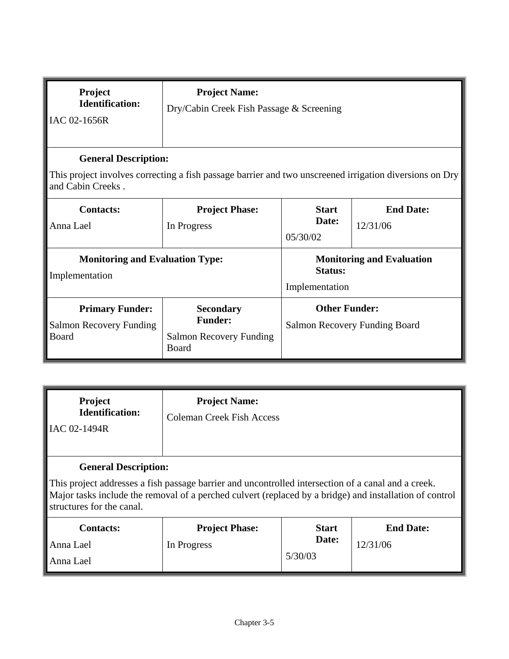| Project<br><b>Identification:</b><br>IAC 02-1656R                                                                                                           | <b>Project Name:</b><br>Dry/Cabin Creek Fish Passage & Screening       |                                                                   |                                  |  |
|-------------------------------------------------------------------------------------------------------------------------------------------------------------|------------------------------------------------------------------------|-------------------------------------------------------------------|----------------------------------|--|
| <b>General Description:</b><br>This project involves correcting a fish passage barrier and two unscreened irrigation diversions on Dry<br>and Cabin Creeks. |                                                                        |                                                                   |                                  |  |
| <b>Contacts:</b><br>Anna Lael                                                                                                                               | <b>Project Phase:</b><br>In Progress                                   | <b>End Date:</b><br><b>Start</b><br>Date:<br>12/31/06<br>05/30/02 |                                  |  |
| <b>Monitoring and Evaluation Type:</b><br>Implementation                                                                                                    |                                                                        | <b>Status:</b><br>Implementation                                  | <b>Monitoring and Evaluation</b> |  |
| <b>Primary Funder:</b><br>Salmon Recovery Funding<br>Board                                                                                                  | <b>Secondary</b><br><b>Funder:</b><br>Salmon Recovery Funding<br>Board | <b>Other Funder:</b><br>Salmon Recovery Funding Board             |                                  |  |

| <b>Project</b><br><b>Identification:</b><br>IAC 02-1494R                                                                                                                                                                                                                   | <b>Project Name:</b><br><b>Coleman Creek Fish Access</b> |                                  |                              |  |
|----------------------------------------------------------------------------------------------------------------------------------------------------------------------------------------------------------------------------------------------------------------------------|----------------------------------------------------------|----------------------------------|------------------------------|--|
| <b>General Description:</b><br>This project addresses a fish passage barrier and uncontrolled intersection of a canal and a creek.<br>Major tasks include the removal of a perched culvert (replaced by a bridge) and installation of control<br>structures for the canal. |                                                          |                                  |                              |  |
| <b>Contacts:</b><br>Anna Lael<br>Anna Lael                                                                                                                                                                                                                                 | <b>Project Phase:</b><br>In Progress                     | <b>Start</b><br>Date:<br>5/30/03 | <b>End Date:</b><br>12/31/06 |  |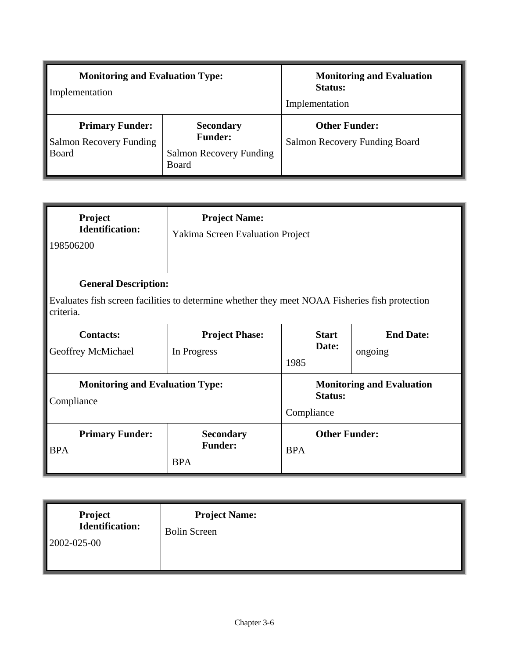| <b>Monitoring and Evaluation Type:</b><br>Implementation          |                                                                               | <b>Monitoring and Evaluation</b><br><b>Status:</b><br>Implementation |  |
|-------------------------------------------------------------------|-------------------------------------------------------------------------------|----------------------------------------------------------------------|--|
| <b>Primary Funder:</b><br><b>Salmon Recovery Funding</b><br>Board | <b>Secondary</b><br><b>Funder:</b><br><b>Salmon Recovery Funding</b><br>Board | <b>Other Funder:</b><br>Salmon Recovery Funding Board                |  |

| Project<br><b>Identification:</b><br>198506200                                                              | <b>Project Name:</b><br><b>Yakima Screen Evaluation Project</b> |                                    |                                  |  |
|-------------------------------------------------------------------------------------------------------------|-----------------------------------------------------------------|------------------------------------|----------------------------------|--|
| <b>General Description:</b>                                                                                 |                                                                 |                                    |                                  |  |
| Evaluates fish screen facilities to determine whether they meet NOAA Fisheries fish protection<br>criteria. |                                                                 |                                    |                                  |  |
| <b>Contacts:</b><br>Geoffrey McMichael                                                                      | <b>Project Phase:</b><br>In Progress                            | <b>Start</b><br>Date:<br>1985      | <b>End Date:</b><br>ongoing      |  |
| <b>Monitoring and Evaluation Type:</b><br>Compliance                                                        |                                                                 | Status:<br>Compliance              | <b>Monitoring and Evaluation</b> |  |
| <b>Primary Funder:</b><br><b>BPA</b>                                                                        | <b>Secondary</b><br><b>Funder:</b><br><b>BPA</b>                | <b>Other Funder:</b><br><b>BPA</b> |                                  |  |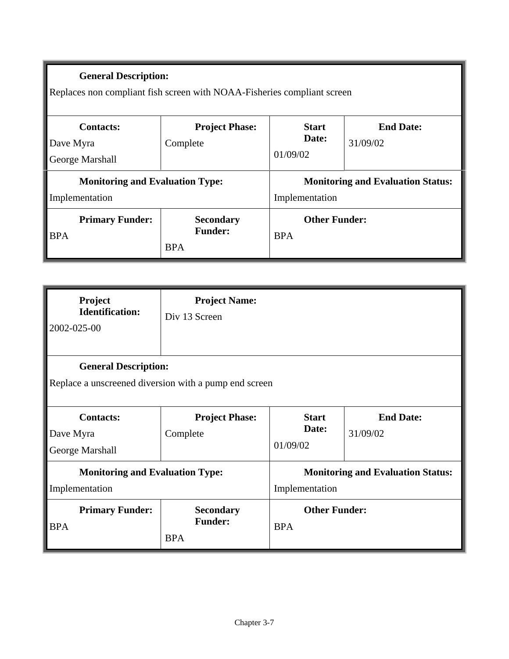Replaces non compliant fish screen with NOAA-Fisheries compliant screen

| <b>Contacts:</b><br>Dave Myra<br><b>George Marshall</b>  | <b>Project Phase:</b><br>Complete                | <b>Start</b><br>Date:<br>01/09/02                          | <b>End Date:</b><br>31/09/02 |
|----------------------------------------------------------|--------------------------------------------------|------------------------------------------------------------|------------------------------|
| <b>Monitoring and Evaluation Type:</b><br>Implementation |                                                  | <b>Monitoring and Evaluation Status:</b><br>Implementation |                              |
| <b>Primary Funder:</b><br><b>BPA</b>                     | <b>Secondary</b><br><b>Funder:</b><br><b>BPA</b> | <b>Other Funder:</b><br><b>BPA</b>                         |                              |

| Project<br><b>Identification:</b><br>2002-025-00         | <b>Project Name:</b><br>Div 13 Screen                                                |                                                            |                              |  |  |
|----------------------------------------------------------|--------------------------------------------------------------------------------------|------------------------------------------------------------|------------------------------|--|--|
|                                                          | <b>General Description:</b><br>Replace a unscreened diversion with a pump end screen |                                                            |                              |  |  |
| <b>Contacts:</b><br>Dave Myra<br>George Marshall         | <b>Project Phase:</b><br>Complete                                                    | <b>Start</b><br>Date:<br>01/09/02                          | <b>End Date:</b><br>31/09/02 |  |  |
| <b>Monitoring and Evaluation Type:</b><br>Implementation |                                                                                      | <b>Monitoring and Evaluation Status:</b><br>Implementation |                              |  |  |
| <b>Primary Funder:</b><br><b>BPA</b>                     | <b>Secondary</b><br><b>Funder:</b><br><b>BPA</b>                                     | <b>Other Funder:</b><br><b>BPA</b>                         |                              |  |  |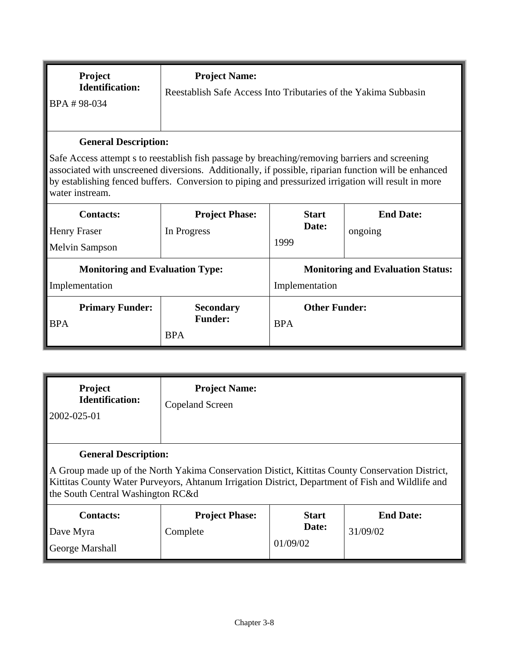| BPA #98-034                                                                                                                                                                                                                                                                                                                                                     |  |  | Reestablish Safe Access Into Tributaries of the Yakima Subbasin |
|-----------------------------------------------------------------------------------------------------------------------------------------------------------------------------------------------------------------------------------------------------------------------------------------------------------------------------------------------------------------|--|--|-----------------------------------------------------------------|
| <b>General Description:</b><br>Safe Access attempt s to reestablish fish passage by breaching/removing barriers and screening<br>associated with unscreened diversions. Additionally, if possible, riparian function will be enhanced<br>by establishing fenced buffers. Conversion to piping and pressurized irrigation will result in more<br>water instream. |  |  |                                                                 |

| <b>Contacts:</b>                           | <b>Project Phase:</b> | <b>Start</b>                             | <b>End Date:</b> |
|--------------------------------------------|-----------------------|------------------------------------------|------------------|
| Henry Fraser                               | In Progress           | Date:                                    | ongoing          |
| <b>Melvin Sampson</b>                      |                       | 1999                                     |                  |
| <b>Monitoring and Evaluation Type:</b>     |                       | <b>Monitoring and Evaluation Status:</b> |                  |
| Implementation                             |                       | Implementation                           |                  |
| <b>Primary Funder:</b><br><b>Secondary</b> |                       | <b>Other Funder:</b>                     |                  |
| <b>BPA</b>                                 | <b>Funder:</b>        | <b>BPA</b>                               |                  |
|                                            | <b>BPA</b>            |                                          |                  |

| Project<br><b>Identification:</b><br>2002-025-01                                                                                                                                                                                                                           | <b>Project Name:</b><br>Copeland Screen |                                   |                              |
|----------------------------------------------------------------------------------------------------------------------------------------------------------------------------------------------------------------------------------------------------------------------------|-----------------------------------------|-----------------------------------|------------------------------|
| <b>General Description:</b><br>A Group made up of the North Yakima Conservation District, Kittitas County Conservation District,<br>Kittitas County Water Purveyors, Ahtanum Irrigation District, Department of Fish and Wildlife and<br>the South Central Washington RC&d |                                         |                                   |                              |
| <b>Contacts:</b><br>Dave Myra<br>George Marshall                                                                                                                                                                                                                           | <b>Project Phase:</b><br>Complete       | <b>Start</b><br>Date:<br>01/09/02 | <b>End Date:</b><br>31/09/02 |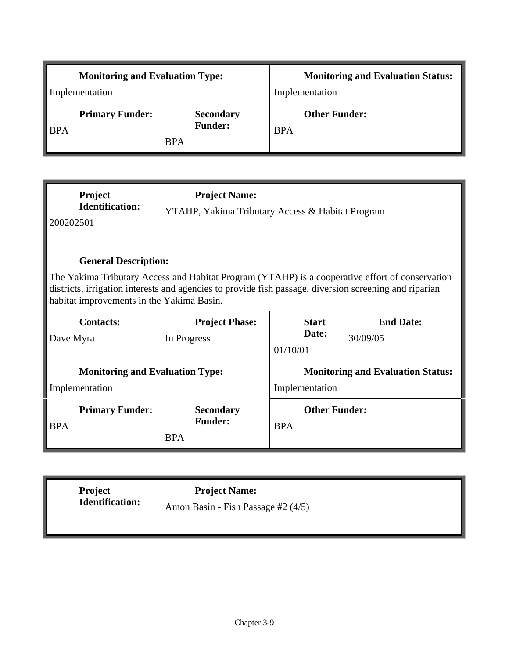| <b>Monitoring and Evaluation Type:</b> |                                                  | <b>Monitoring and Evaluation Status:</b> |  |
|----------------------------------------|--------------------------------------------------|------------------------------------------|--|
| Implementation                         |                                                  | Implementation                           |  |
| <b>Primary Funder:</b><br><b>BPA</b>   | <b>Secondary</b><br><b>Funder:</b><br><b>BPA</b> | <b>Other Funder:</b><br><b>BPA</b>       |  |

| Project<br><b>Identification:</b><br>200202501                                                                                                                                                                                                                                        | <b>Project Name:</b><br>YTAHP, Yakima Tributary Access & Habitat Program |                                                                   |  |  |
|---------------------------------------------------------------------------------------------------------------------------------------------------------------------------------------------------------------------------------------------------------------------------------------|--------------------------------------------------------------------------|-------------------------------------------------------------------|--|--|
| <b>General Description:</b><br>The Yakima Tributary Access and Habitat Program (YTAHP) is a cooperative effort of conservation<br>districts, irrigation interests and agencies to provide fish passage, diversion screening and riparian<br>habitat improvements in the Yakima Basin. |                                                                          |                                                                   |  |  |
| <b>Contacts:</b><br>Dave Myra                                                                                                                                                                                                                                                         | <b>Project Phase:</b><br>In Progress                                     | <b>Start</b><br><b>End Date:</b><br>Date:<br>30/09/05<br>01/10/01 |  |  |
| <b>Monitoring and Evaluation Type:</b><br>Implementation                                                                                                                                                                                                                              |                                                                          | <b>Monitoring and Evaluation Status:</b><br>Implementation        |  |  |
| <b>Primary Funder:</b><br><b>BPA</b>                                                                                                                                                                                                                                                  | <b>Secondary</b><br><b>Funder:</b><br><b>BPA</b>                         | <b>Other Funder:</b><br><b>BPA</b>                                |  |  |

| <b>Project</b>  | <b>Project Name:</b>               |
|-----------------|------------------------------------|
| Identification: | Amon Basin - Fish Passage #2 (4/5) |
|                 |                                    |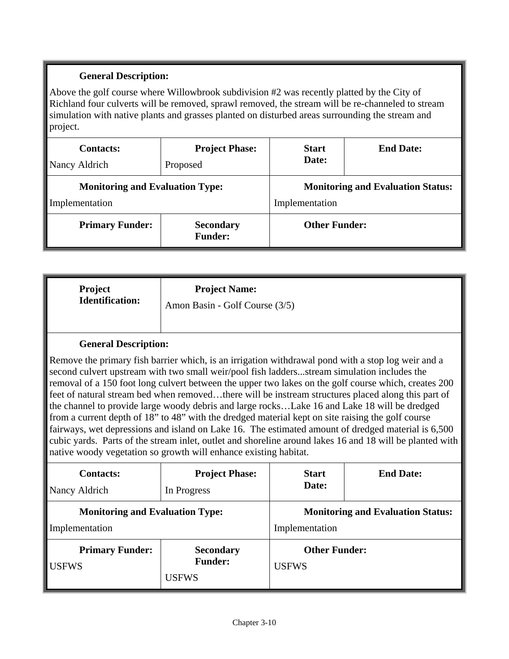Above the golf course where Willowbrook subdivision #2 was recently platted by the City of Richland four culverts will be removed, sprawl removed, the stream will be re-channeled to stream simulation with native plants and grasses planted on disturbed areas surrounding the stream and project.

| <b>Contacts:</b>                       | <b>Project Phase:</b>              | <b>Start</b>                             | <b>End Date:</b> |
|----------------------------------------|------------------------------------|------------------------------------------|------------------|
| Nancy Aldrich                          | Proposed                           | Date:                                    |                  |
| <b>Monitoring and Evaluation Type:</b> |                                    | <b>Monitoring and Evaluation Status:</b> |                  |
| Implementation                         |                                    | Implementation                           |                  |
| <b>Primary Funder:</b>                 | <b>Secondary</b><br><b>Funder:</b> | <b>Other Funder:</b>                     |                  |

| <b>Project</b>         | <b>Project Name:</b>           |
|------------------------|--------------------------------|
| <b>Identification:</b> | Amon Basin - Golf Course (3/5) |

#### **General Description:**

Remove the primary fish barrier which, is an irrigation withdrawal pond with a stop log weir and a second culvert upstream with two small weir/pool fish ladders...stream simulation includes the removal of a 150 foot long culvert between the upper two lakes on the golf course which, creates 200 feet of natural stream bed when removed…there will be instream structures placed along this part of the channel to provide large woody debris and large rocks…Lake 16 and Lake 18 will be dredged from a current depth of 18" to 48" with the dredged material kept on site raising the golf course fairways, wet depressions and island on Lake 16. The estimated amount of dredged material is 6,500 cubic yards. Parts of the stream inlet, outlet and shoreline around lakes 16 and 18 will be planted with native woody vegetation so growth will enhance existing habitat.

| <b>Contacts:</b>                       | <b>Project Phase:</b>                              | <b>Start</b>                             | <b>End Date:</b> |
|----------------------------------------|----------------------------------------------------|------------------------------------------|------------------|
| Nancy Aldrich                          | In Progress                                        | Date:                                    |                  |
| <b>Monitoring and Evaluation Type:</b> |                                                    | <b>Monitoring and Evaluation Status:</b> |                  |
| Implementation                         |                                                    | Implementation                           |                  |
| <b>Primary Funder:</b><br><b>USFWS</b> | <b>Secondary</b><br><b>Funder:</b><br><b>USFWS</b> | <b>Other Funder:</b><br><b>USFWS</b>     |                  |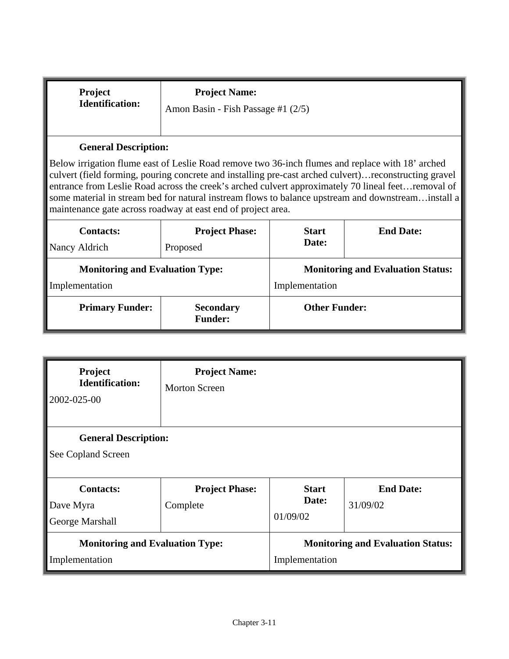| <b>Project</b><br><b>Identification:</b>                                                                                                                                                                                                                                                                                                                                                                        | <b>Project Name:</b><br>Amon Basin - Fish Passage #1 (2/5)                     |                                                            |                                                                                                    |
|-----------------------------------------------------------------------------------------------------------------------------------------------------------------------------------------------------------------------------------------------------------------------------------------------------------------------------------------------------------------------------------------------------------------|--------------------------------------------------------------------------------|------------------------------------------------------------|----------------------------------------------------------------------------------------------------|
| <b>General Description:</b><br>Below irrigation flume east of Leslie Road remove two 36-inch flumes and replace with 18' arched<br>culvert (field forming, pouring concrete and installing pre-cast arched culvert) reconstructing gravel<br>entrance from Leslie Road across the creek's arched culvert approximately 70 lineal feetremoval of<br>maintenance gate across roadway at east end of project area. |                                                                                |                                                            | some material in stream bed for natural instream flows to balance upstream and downstreaminstall a |
| <b>Contacts:</b><br>Nancy Aldrich                                                                                                                                                                                                                                                                                                                                                                               | <b>End Date:</b><br><b>Project Phase:</b><br><b>Start</b><br>Date:<br>Proposed |                                                            |                                                                                                    |
| <b>Monitoring and Evaluation Type:</b><br>Implementation                                                                                                                                                                                                                                                                                                                                                        |                                                                                | <b>Monitoring and Evaluation Status:</b><br>Implementation |                                                                                                    |
| <b>Primary Funder:</b>                                                                                                                                                                                                                                                                                                                                                                                          | <b>Other Funder:</b><br><b>Secondary</b><br><b>Funder:</b>                     |                                                            |                                                                                                    |

| <b>Project</b><br><b>Identification:</b><br>2002-025-00  | <b>Project Name:</b><br><b>Morton Screen</b> |                                   |                                          |
|----------------------------------------------------------|----------------------------------------------|-----------------------------------|------------------------------------------|
| <b>General Description:</b><br>See Copland Screen        |                                              |                                   |                                          |
| <b>Contacts:</b><br>Dave Myra<br>George Marshall         | <b>Project Phase:</b><br>Complete            | <b>Start</b><br>Date:<br>01/09/02 | <b>End Date:</b><br>31/09/02             |
| <b>Monitoring and Evaluation Type:</b><br>Implementation |                                              | Implementation                    | <b>Monitoring and Evaluation Status:</b> |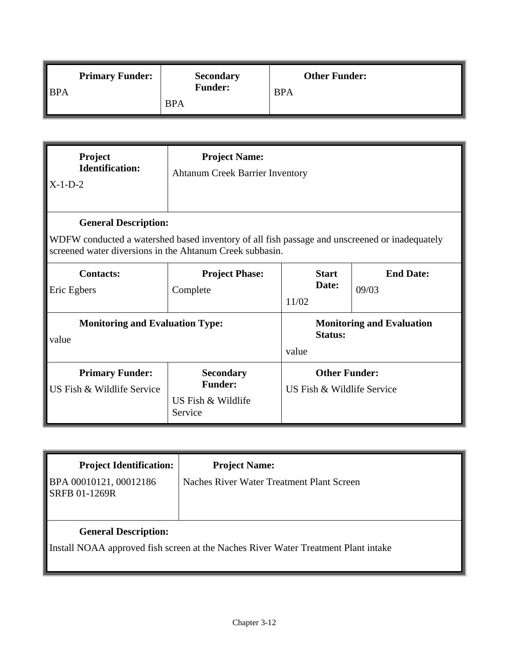| $\blacksquare$ BPA | <b>Primary Funder:</b> | <b>Secondary</b><br><b>Funder:</b> | <b>Other Funder:</b><br><b>BPA</b> |
|--------------------|------------------------|------------------------------------|------------------------------------|
|                    |                        | <b>BPA</b>                         |                                    |

| <b>Project</b><br><b>Identification:</b><br>$X-1-D-2$                                                                                                                                    | <b>Project Name:</b><br><b>Ahtanum Creek Barrier Inventory</b>      |                                                    |                                  |
|------------------------------------------------------------------------------------------------------------------------------------------------------------------------------------------|---------------------------------------------------------------------|----------------------------------------------------|----------------------------------|
| <b>General Description:</b><br>WDFW conducted a watershed based inventory of all fish passage and unscreened or inadequately<br>screened water diversions in the Ahtanum Creek subbasin. |                                                                     |                                                    |                                  |
| <b>Contacts:</b><br>Eric Egbers                                                                                                                                                          | <b>Project Phase:</b><br>Complete                                   | <b>Start</b><br>Date:<br>11/02                     | <b>End Date:</b><br>09/03        |
| <b>Monitoring and Evaluation Type:</b><br>value                                                                                                                                          |                                                                     | <b>Status:</b><br>value                            | <b>Monitoring and Evaluation</b> |
| <b>Primary Funder:</b><br>US Fish & Wildlife Service                                                                                                                                     | <b>Secondary</b><br><b>Funder:</b><br>US Fish & Wildlife<br>Service | <b>Other Funder:</b><br>US Fish & Wildlife Service |                                  |

| <b>Project Identification:</b>                                                                                    | <b>Project Name:</b>                      |  |
|-------------------------------------------------------------------------------------------------------------------|-------------------------------------------|--|
| BPA 00010121, 00012186<br><b>SRFB 01-1269R</b>                                                                    | Naches River Water Treatment Plant Screen |  |
| <b>General Description:</b><br>Install NOAA approved fish screen at the Naches River Water Treatment Plant intake |                                           |  |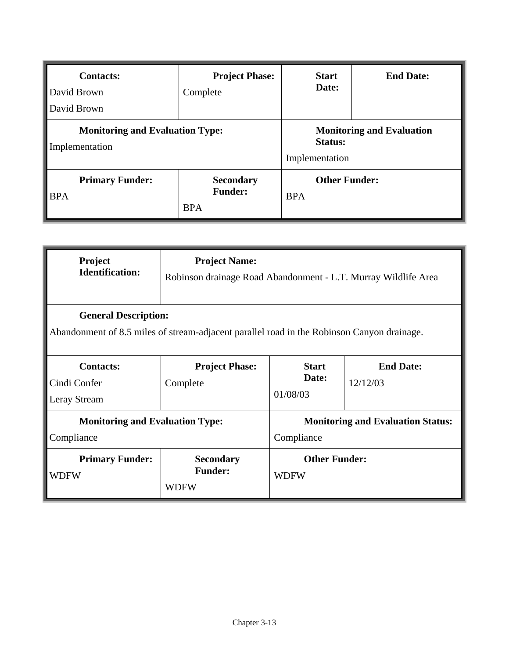| <b>Contacts:</b><br>David Brown<br>David Brown           | <b>Project Phase:</b><br>Complete                | <b>Start</b><br>Date:              | <b>End Date:</b>                 |
|----------------------------------------------------------|--------------------------------------------------|------------------------------------|----------------------------------|
| <b>Monitoring and Evaluation Type:</b><br>Implementation |                                                  | <b>Status:</b><br>Implementation   | <b>Monitoring and Evaluation</b> |
| <b>Primary Funder:</b><br><b>BPA</b>                     | <b>Secondary</b><br><b>Funder:</b><br><b>BPA</b> | <b>Other Funder:</b><br><b>BPA</b> |                                  |

| Project<br><b>Identification:</b>                                                                                         | <b>Project Name:</b><br>Robinson drainage Road Abandonment - L.T. Murray Wildlife Area |                                                        |                              |
|---------------------------------------------------------------------------------------------------------------------------|----------------------------------------------------------------------------------------|--------------------------------------------------------|------------------------------|
| <b>General Description:</b><br>Abandonment of 8.5 miles of stream-adjacent parallel road in the Robinson Canyon drainage. |                                                                                        |                                                        |                              |
| <b>Contacts:</b><br>Cindi Confer<br>Leray Stream                                                                          | <b>Project Phase:</b><br>Complete                                                      | <b>Start</b><br>Date:<br>01/08/03                      | <b>End Date:</b><br>12/12/03 |
| <b>Monitoring and Evaluation Type:</b><br>Compliance                                                                      |                                                                                        | <b>Monitoring and Evaluation Status:</b><br>Compliance |                              |
| <b>Primary Funder:</b><br>WDFW                                                                                            | <b>Secondary</b><br><b>Funder:</b><br><b>WDFW</b>                                      | <b>Other Funder:</b><br><b>WDFW</b>                    |                              |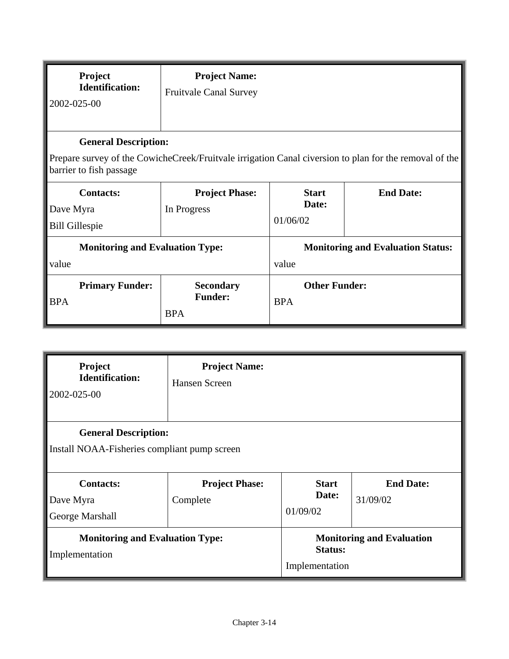| Project<br><b>Identification:</b><br>2002-025-00                                                                                                                 | <b>Project Name:</b><br><b>Fruitvale Canal Survey</b> |                                    |                                          |
|------------------------------------------------------------------------------------------------------------------------------------------------------------------|-------------------------------------------------------|------------------------------------|------------------------------------------|
| <b>General Description:</b><br>Prepare survey of the CowicheCreek/Fruitvale irrigation Canal civersion to plan for the removal of the<br>barrier to fish passage |                                                       |                                    |                                          |
| <b>Contacts:</b><br>Dave Myra<br><b>Bill Gillespie</b>                                                                                                           | <b>Project Phase:</b><br>In Progress                  | <b>Start</b><br>Date:<br>01/06/02  | <b>End Date:</b>                         |
| <b>Monitoring and Evaluation Type:</b><br>value                                                                                                                  |                                                       | value                              | <b>Monitoring and Evaluation Status:</b> |
| <b>Primary Funder:</b><br><b>BPA</b>                                                                                                                             | <b>Secondary</b><br><b>Funder:</b><br><b>BPA</b>      | <b>Other Funder:</b><br><b>BPA</b> |                                          |

| Project<br><b>Identification:</b><br>2002-025-00                            | <b>Project Name:</b><br>Hansen Screen |                                   |                                  |
|-----------------------------------------------------------------------------|---------------------------------------|-----------------------------------|----------------------------------|
| <b>General Description:</b><br>Install NOAA-Fisheries compliant pump screen |                                       |                                   |                                  |
| <b>Contacts:</b><br>Dave Myra<br>George Marshall                            | <b>Project Phase:</b><br>Complete     | <b>Start</b><br>Date:<br>01/09/02 | <b>End Date:</b><br>31/09/02     |
| <b>Monitoring and Evaluation Type:</b><br>Implementation                    |                                       | <b>Status:</b><br>Implementation  | <b>Monitoring and Evaluation</b> |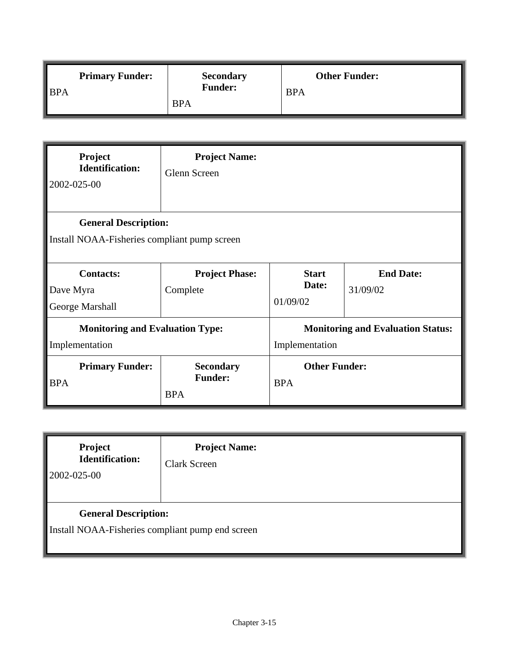|                    | <b>Primary Funder:</b> | <b>Secondary</b><br><b>Funder:</b> | <b>Other Funder:</b> |
|--------------------|------------------------|------------------------------------|----------------------|
| $\blacksquare$ BPA |                        |                                    | <b>BPA</b>           |
|                    |                        | <b>BPA</b>                         |                      |

| Project<br><b>Identification:</b><br>2002-025-00                            | <b>Project Name:</b><br>Glenn Screen             |                                                            |                              |  |
|-----------------------------------------------------------------------------|--------------------------------------------------|------------------------------------------------------------|------------------------------|--|
| <b>General Description:</b><br>Install NOAA-Fisheries compliant pump screen |                                                  |                                                            |                              |  |
| <b>Contacts:</b><br>Dave Myra<br>George Marshall                            | <b>Project Phase:</b><br>Complete                | <b>Start</b><br>Date:<br>01/09/02                          | <b>End Date:</b><br>31/09/02 |  |
| <b>Monitoring and Evaluation Type:</b><br>Implementation                    |                                                  | <b>Monitoring and Evaluation Status:</b><br>Implementation |                              |  |
| <b>Primary Funder:</b><br><b>BPA</b>                                        | <b>Secondary</b><br><b>Funder:</b><br><b>BPA</b> | <b>Other Funder:</b><br><b>BPA</b>                         |                              |  |

| Project<br><b>Identification:</b><br>2002-025-00                                | <b>Project Name:</b><br><b>Clark Screen</b> |
|---------------------------------------------------------------------------------|---------------------------------------------|
| <b>General Description:</b><br>Install NOAA-Fisheries compliant pump end screen |                                             |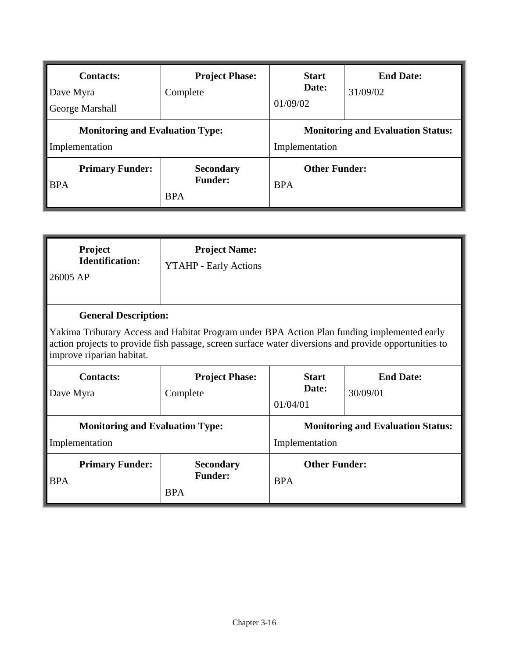| <b>Contacts:</b><br>Dave Myra<br>George Marshall         | <b>Project Phase:</b><br>Complete                | <b>Start</b><br>Date:<br>01/09/02                          | <b>End Date:</b><br>31/09/02 |
|----------------------------------------------------------|--------------------------------------------------|------------------------------------------------------------|------------------------------|
| <b>Monitoring and Evaluation Type:</b><br>Implementation |                                                  | <b>Monitoring and Evaluation Status:</b><br>Implementation |                              |
| <b>Primary Funder:</b><br><b>BPA</b>                     | <b>Secondary</b><br><b>Funder:</b><br><b>BPA</b> | <b>Other Funder:</b><br><b>BPA</b>                         |                              |

| Project<br><b>Identification:</b><br>26005 AP                                                                                                                                                                                                                    | <b>Project Name:</b><br><b>YTAHP</b> - Early Actions |                                                            |                              |  |
|------------------------------------------------------------------------------------------------------------------------------------------------------------------------------------------------------------------------------------------------------------------|------------------------------------------------------|------------------------------------------------------------|------------------------------|--|
| <b>General Description:</b><br>Yakima Tributary Access and Habitat Program under BPA Action Plan funding implemented early<br>action projects to provide fish passage, screen surface water diversions and provide opportunities to<br>improve riparian habitat. |                                                      |                                                            |                              |  |
| <b>Contacts:</b><br>Dave Myra                                                                                                                                                                                                                                    | <b>Project Phase:</b><br>Complete                    | <b>Start</b><br>Date:<br>01/04/01                          | <b>End Date:</b><br>30/09/01 |  |
| <b>Monitoring and Evaluation Type:</b><br>Implementation                                                                                                                                                                                                         |                                                      | <b>Monitoring and Evaluation Status:</b><br>Implementation |                              |  |
| <b>Primary Funder:</b><br><b>BPA</b>                                                                                                                                                                                                                             | <b>Secondary</b><br><b>Funder:</b><br><b>BPA</b>     | <b>Other Funder:</b><br><b>BPA</b>                         |                              |  |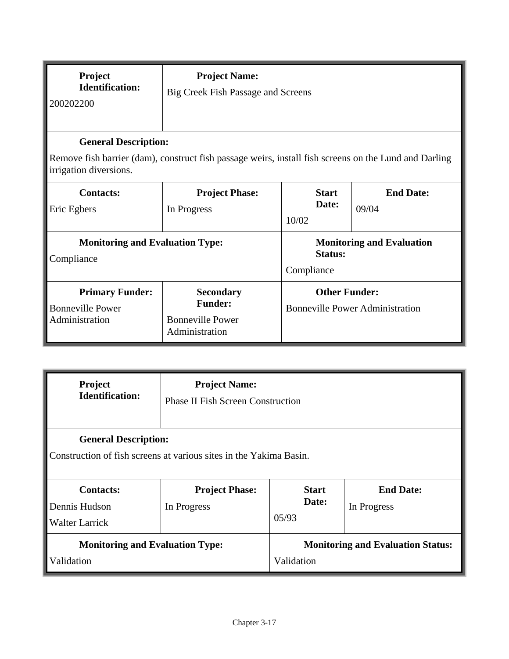| Project<br><b>Identification:</b><br>200202200                                                                                                                 | <b>Project Name:</b><br>Big Creek Fish Passage and Screens                      |                                                                |                                  |  |
|----------------------------------------------------------------------------------------------------------------------------------------------------------------|---------------------------------------------------------------------------------|----------------------------------------------------------------|----------------------------------|--|
| <b>General Description:</b><br>Remove fish barrier (dam), construct fish passage weirs, install fish screens on the Lund and Darling<br>irrigation diversions. |                                                                                 |                                                                |                                  |  |
| <b>Contacts:</b><br>Eric Egbers                                                                                                                                | <b>Project Phase:</b><br>In Progress                                            | <b>Start</b><br>Date:<br>10/02                                 | <b>End Date:</b><br>09/04        |  |
| <b>Monitoring and Evaluation Type:</b><br>Compliance                                                                                                           |                                                                                 | Status:<br>Compliance                                          | <b>Monitoring and Evaluation</b> |  |
| <b>Primary Funder:</b><br><b>Bonneville Power</b><br>Administration                                                                                            | <b>Secondary</b><br><b>Funder:</b><br><b>Bonneville Power</b><br>Administration | <b>Other Funder:</b><br><b>Bonneville Power Administration</b> |                                  |  |

| <b>Project</b>                                                                                    | <b>Project Name:</b>                     |                                          |                                 |  |
|---------------------------------------------------------------------------------------------------|------------------------------------------|------------------------------------------|---------------------------------|--|
| <b>Identification:</b>                                                                            | <b>Phase II Fish Screen Construction</b> |                                          |                                 |  |
| <b>General Description:</b><br>Construction of fish screens at various sites in the Yakima Basin. |                                          |                                          |                                 |  |
| <b>Contacts:</b><br>Dennis Hudson<br>Walter Larrick                                               | <b>Project Phase:</b><br>In Progress     | <b>Start</b><br>Date:<br>05/93           | <b>End Date:</b><br>In Progress |  |
| <b>Monitoring and Evaluation Type:</b>                                                            |                                          | <b>Monitoring and Evaluation Status:</b> |                                 |  |
| Validation                                                                                        |                                          | Validation                               |                                 |  |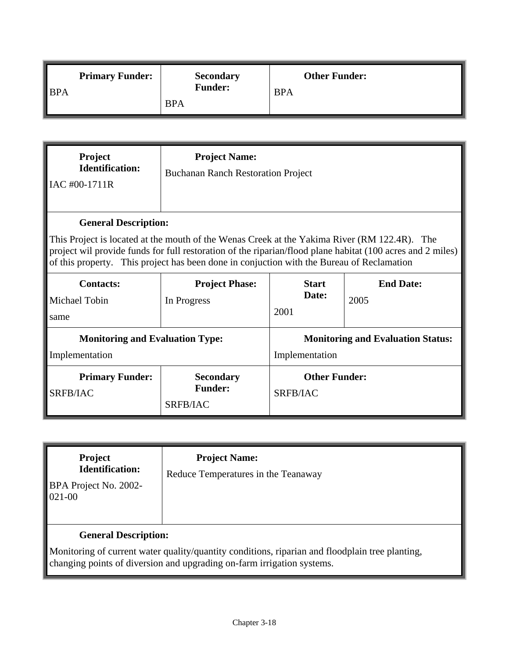| $\blacksquare$ BPA | <b>Primary Funder:</b> | <b>Secondary</b><br><b>Funder:</b> | <b>Other Funder:</b><br><b>BPA</b> |
|--------------------|------------------------|------------------------------------|------------------------------------|
|                    |                        | <b>BPA</b>                         |                                    |

| Project<br><b>Identification:</b><br>IAC #00-1711R                                                                                                                                                                                                                                                                                     | <b>Project Name:</b><br><b>Buchanan Ranch Restoration Project</b> |                                                            |                          |
|----------------------------------------------------------------------------------------------------------------------------------------------------------------------------------------------------------------------------------------------------------------------------------------------------------------------------------------|-------------------------------------------------------------------|------------------------------------------------------------|--------------------------|
| <b>General Description:</b><br>This Project is located at the mouth of the Wenas Creek at the Yakima River (RM 122.4R). The<br>project wil provide funds for full restoration of the riparian/flood plane habitat (100 acres and 2 miles)<br>of this property. This project has been done in conjuction with the Bureau of Reclamation |                                                                   |                                                            |                          |
| <b>Contacts:</b><br>Michael Tobin<br>same                                                                                                                                                                                                                                                                                              | <b>Project Phase:</b><br>In Progress                              | <b>Start</b><br>Date:<br>2001                              | <b>End Date:</b><br>2005 |
| <b>Monitoring and Evaluation Type:</b><br>Implementation                                                                                                                                                                                                                                                                               |                                                                   | <b>Monitoring and Evaluation Status:</b><br>Implementation |                          |
| <b>Primary Funder:</b><br>SRFB/IAC                                                                                                                                                                                                                                                                                                     | <b>Secondary</b><br><b>Funder:</b><br>SRFB/IAC                    | <b>Other Funder:</b><br>SRFB/IAC                           |                          |

| <b>Project</b><br><b>Identification:</b><br>BPA Project No. 2002-<br>$021-00$ | <b>Project Name:</b><br>Reduce Temperatures in the Teanaway                                                                                                               |
|-------------------------------------------------------------------------------|---------------------------------------------------------------------------------------------------------------------------------------------------------------------------|
| <b>General Description:</b>                                                   |                                                                                                                                                                           |
|                                                                               | Monitoring of current water quality/quantity conditions, riparian and floodplain tree planting,<br>changing points of diversion and upgrading on-farm irrigation systems. |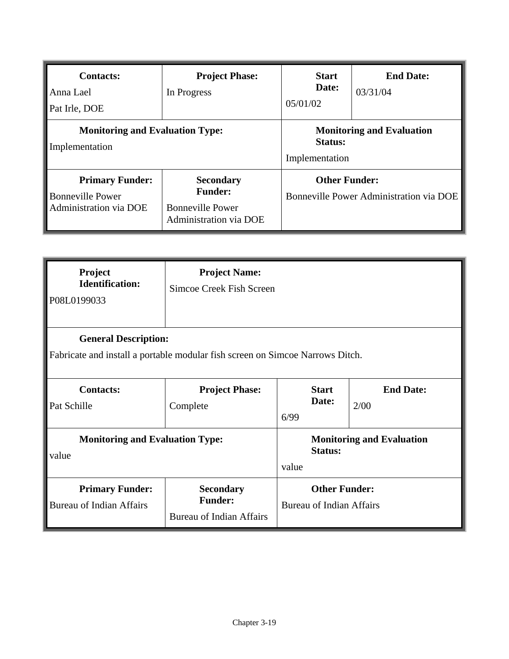| <b>Contacts:</b><br>Anna Lael<br>Pat Irle, DOE                              | <b>Project Phase:</b><br>In Progress                                                           | <b>Start</b><br>Date:<br>05/01/02                                    | <b>End Date:</b><br>03/31/04 |
|-----------------------------------------------------------------------------|------------------------------------------------------------------------------------------------|----------------------------------------------------------------------|------------------------------|
| <b>Monitoring and Evaluation Type:</b><br>Implementation                    |                                                                                                | <b>Monitoring and Evaluation</b><br><b>Status:</b><br>Implementation |                              |
| <b>Primary Funder:</b><br><b>Bonneville Power</b><br>Administration via DOE | <b>Secondary</b><br><b>Funder:</b><br><b>Bonneville Power</b><br><b>Administration via DOE</b> | <b>Other Funder:</b><br>Bonneville Power Administration via DOE      |                              |

| Project<br><b>Identification:</b><br>P08L0199033                                                             | <b>Project Name:</b><br>Simcoe Creek Fish Screen                      |                                                         |                       |                                  |
|--------------------------------------------------------------------------------------------------------------|-----------------------------------------------------------------------|---------------------------------------------------------|-----------------------|----------------------------------|
| <b>General Description:</b><br>Fabricate and install a portable modular fish screen on Simcoe Narrows Ditch. |                                                                       |                                                         |                       |                                  |
| <b>Contacts:</b><br>Pat Schille                                                                              | <b>Project Phase:</b><br>Complete                                     | 6/99                                                    | <b>Start</b><br>Date: | <b>End Date:</b><br>2/00         |
| <b>Monitoring and Evaluation Type:</b><br>value                                                              |                                                                       | value                                                   | <b>Status:</b>        | <b>Monitoring and Evaluation</b> |
| <b>Primary Funder:</b><br><b>Bureau of Indian Affairs</b>                                                    | <b>Secondary</b><br><b>Funder:</b><br><b>Bureau of Indian Affairs</b> | <b>Other Funder:</b><br><b>Bureau of Indian Affairs</b> |                       |                                  |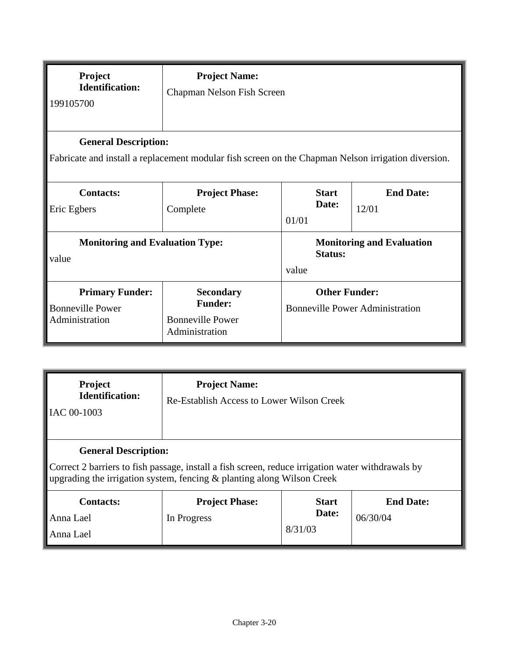| Project<br><b>Identification:</b><br>199105700                                                                                     | <b>Project Name:</b><br>Chapman Nelson Fish Screen                              |                                                                |                                  |  |
|------------------------------------------------------------------------------------------------------------------------------------|---------------------------------------------------------------------------------|----------------------------------------------------------------|----------------------------------|--|
| <b>General Description:</b><br>Fabricate and install a replacement modular fish screen on the Chapman Nelson irrigation diversion. |                                                                                 |                                                                |                                  |  |
| <b>Contacts:</b><br>Eric Egbers                                                                                                    | <b>Project Phase:</b><br>Complete                                               | <b>Start</b><br>Date:<br>01/01                                 | <b>End Date:</b><br>12/01        |  |
| <b>Monitoring and Evaluation Type:</b><br>value                                                                                    |                                                                                 | <b>Status:</b><br>value                                        | <b>Monitoring and Evaluation</b> |  |
| <b>Primary Funder:</b><br><b>Bonneville Power</b><br>Administration                                                                | <b>Secondary</b><br><b>Funder:</b><br><b>Bonneville Power</b><br>Administration | <b>Other Funder:</b><br><b>Bonneville Power Administration</b> |                                  |  |

| <b>Project</b><br><b>Identification:</b><br>IAC 00-1003                                                                                                                                                    | <b>Project Name:</b><br>Re-Establish Access to Lower Wilson Creek |                                  |                              |  |
|------------------------------------------------------------------------------------------------------------------------------------------------------------------------------------------------------------|-------------------------------------------------------------------|----------------------------------|------------------------------|--|
| <b>General Description:</b><br>Correct 2 barriers to fish passage, install a fish screen, reduce irrigation water withdrawals by<br>upgrading the irrigation system, fencing & planting along Wilson Creek |                                                                   |                                  |                              |  |
| <b>Contacts:</b><br>Anna Lael<br>Anna Lael                                                                                                                                                                 | <b>Project Phase:</b><br>In Progress                              | <b>Start</b><br>Date:<br>8/31/03 | <b>End Date:</b><br>06/30/04 |  |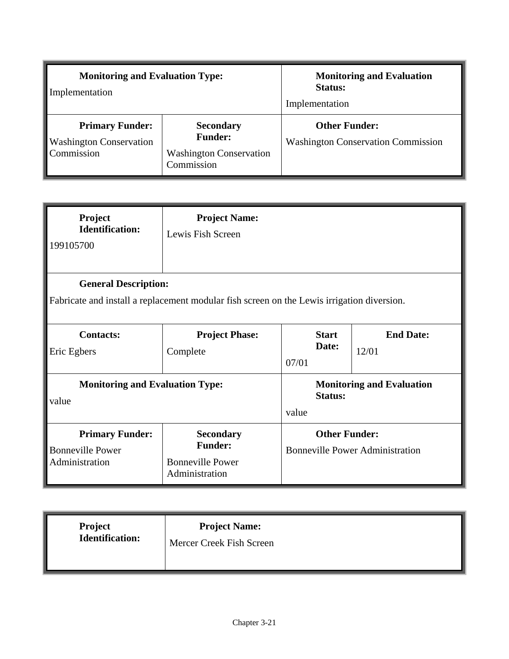| <b>Monitoring and Evaluation Type:</b><br>Implementation               |                                                                                    | <b>Monitoring and Evaluation</b><br><b>Status:</b><br>Implementation |  |
|------------------------------------------------------------------------|------------------------------------------------------------------------------------|----------------------------------------------------------------------|--|
| <b>Primary Funder:</b><br><b>Washington Conservation</b><br>Commission | <b>Secondary</b><br><b>Funder:</b><br><b>Washington Conservation</b><br>Commission | <b>Other Funder:</b><br><b>Washington Conservation Commission</b>    |  |

| Project<br><b>Identification:</b><br>199105700                                                                            | <b>Project Name:</b><br>Lewis Fish Screen                                       |                                |                                        |  |
|---------------------------------------------------------------------------------------------------------------------------|---------------------------------------------------------------------------------|--------------------------------|----------------------------------------|--|
| <b>General Description:</b><br>Fabricate and install a replacement modular fish screen on the Lewis irrigation diversion. |                                                                                 |                                |                                        |  |
| <b>Contacts:</b><br>Eric Egbers                                                                                           | <b>Project Phase:</b><br>Complete                                               | <b>Start</b><br>Date:<br>07/01 | <b>End Date:</b><br>12/01              |  |
| <b>Monitoring and Evaluation Type:</b><br>value                                                                           |                                                                                 | <b>Status:</b><br>value        | <b>Monitoring and Evaluation</b>       |  |
| <b>Primary Funder:</b><br><b>Bonneville Power</b><br>Administration                                                       | <b>Secondary</b><br><b>Funder:</b><br><b>Bonneville Power</b><br>Administration | <b>Other Funder:</b>           | <b>Bonneville Power Administration</b> |  |

| Project                | <b>Project Name:</b>     |
|------------------------|--------------------------|
| <b>Identification:</b> | Mercer Creek Fish Screen |
|                        |                          |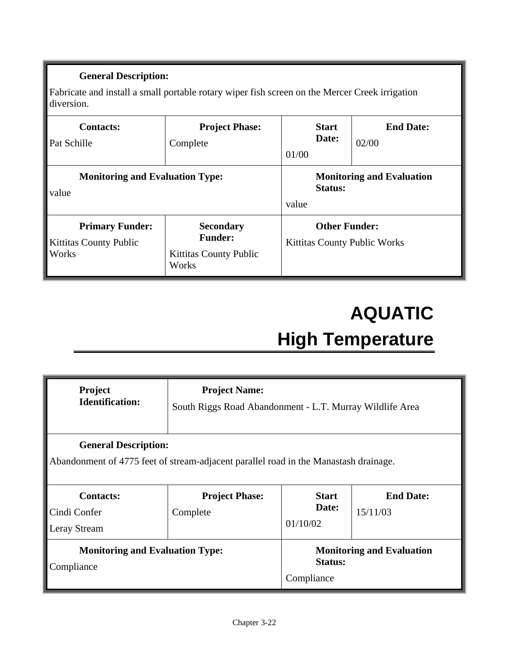Fabricate and install a small portable rotary wiper fish screen on the Mercer Creek irrigation diversion.

| <b>Contacts:</b><br>Pat Schille                                  | <b>Project Phase:</b><br>Complete                                            | 01/00 | <b>Start</b><br>Date: | <b>End Date:</b><br>02/00           |
|------------------------------------------------------------------|------------------------------------------------------------------------------|-------|-----------------------|-------------------------------------|
| <b>Monitoring and Evaluation Type:</b><br>value                  |                                                                              | value | Status:               | <b>Monitoring and Evaluation</b>    |
| <b>Primary Funder:</b><br><b>Kittitas County Public</b><br>Works | <b>Secondary</b><br><b>Funder:</b><br><b>Kittitas County Public</b><br>Works |       | <b>Other Funder:</b>  | <b>Kittitas County Public Works</b> |

## **AQUATIC High Temperature**

| <b>Project</b><br><b>Identification:</b>                                                                            | <b>Project Name:</b><br>South Riggs Road Abandonment - L.T. Murray Wildlife Area |                                   |                                  |  |
|---------------------------------------------------------------------------------------------------------------------|----------------------------------------------------------------------------------|-----------------------------------|----------------------------------|--|
| <b>General Description:</b><br>Abandonment of 4775 feet of stream-adjacent parallel road in the Manastash drainage. |                                                                                  |                                   |                                  |  |
| <b>Contacts:</b><br>Cindi Confer<br>Leray Stream                                                                    | <b>Project Phase:</b><br>Complete                                                | <b>Start</b><br>Date:<br>01/10/02 | <b>End Date:</b><br>15/11/03     |  |
| <b>Monitoring and Evaluation Type:</b><br>Compliance                                                                |                                                                                  | <b>Status:</b><br>Compliance      | <b>Monitoring and Evaluation</b> |  |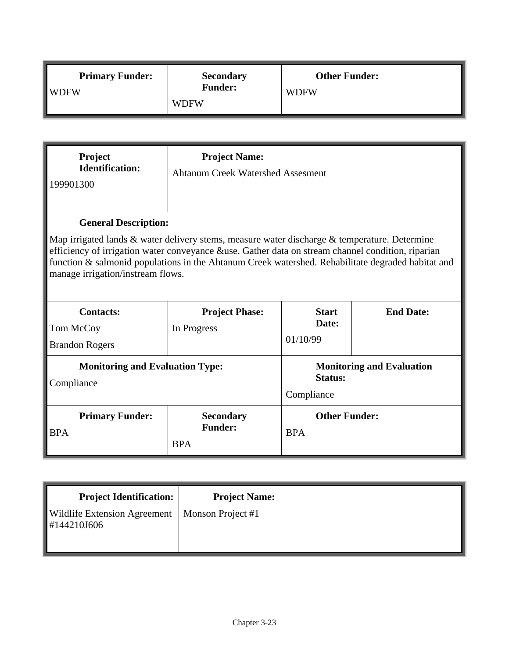| <b>Primary Funder:</b> | <b>Secondary</b><br><b>Funder:</b> | <b>Other Funder:</b> |
|------------------------|------------------------------------|----------------------|
| $\blacksquare$ WDFW    | <b>WDFW</b>                        | <b>WDFW</b>          |

| Project<br><b>Identification:</b><br>199901300                                                                                                                                                                                                                                                                                                                             | <b>Project Name:</b><br><b>Ahtanum Creek Watershed Assesment</b> |                                                                  |                  |  |
|----------------------------------------------------------------------------------------------------------------------------------------------------------------------------------------------------------------------------------------------------------------------------------------------------------------------------------------------------------------------------|------------------------------------------------------------------|------------------------------------------------------------------|------------------|--|
| <b>General Description:</b><br>Map irrigated lands & water delivery stems, measure water discharge & temperature. Determine<br>efficiency of irrigation water conveyance &use. Gather data on stream channel condition, riparian<br>function & salmonid populations in the Ahtanum Creek watershed. Rehabilitate degraded habitat and<br>manage irrigation/instream flows. |                                                                  |                                                                  |                  |  |
| <b>Contacts:</b><br>Tom McCoy<br><b>Brandon Rogers</b>                                                                                                                                                                                                                                                                                                                     | <b>Project Phase:</b><br>In Progress                             | <b>Start</b><br>Date:<br>01/10/99                                | <b>End Date:</b> |  |
| <b>Monitoring and Evaluation Type:</b><br>Compliance                                                                                                                                                                                                                                                                                                                       |                                                                  | <b>Monitoring and Evaluation</b><br><b>Status:</b><br>Compliance |                  |  |
| <b>Primary Funder:</b><br><b>BPA</b>                                                                                                                                                                                                                                                                                                                                       | <b>Secondary</b><br><b>Funder:</b><br><b>BPA</b>                 | <b>Other Funder:</b><br><b>BPA</b>                               |                  |  |

| <b>Project Identification:</b>                                 | <b>Project Name:</b> |  |
|----------------------------------------------------------------|----------------------|--|
| <b>Wildlife Extension Agreement</b><br>$\parallel$ #144210J606 | Monson Project #1    |  |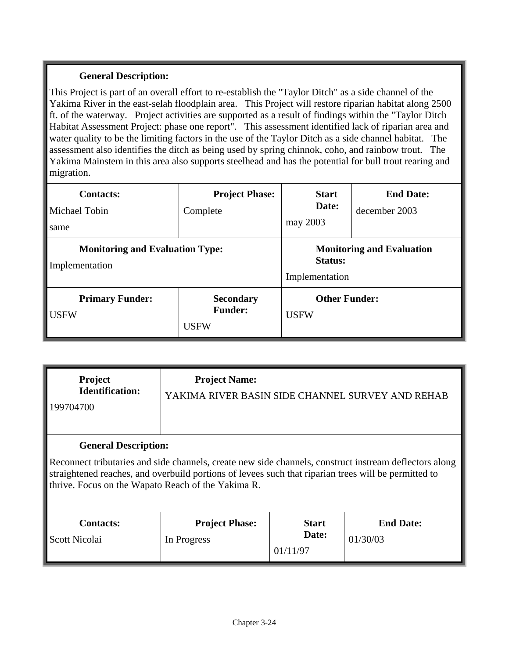This Project is part of an overall effort to re-establish the "Taylor Ditch" as a side channel of the Yakima River in the east-selah floodplain area. This Project will restore riparian habitat along 2500 ft. of the waterway. Project activities are supported as a result of findings within the "Taylor Ditch Habitat Assessment Project: phase one report". This assessment identified lack of riparian area and water quality to be the limiting factors in the use of the Taylor Ditch as a side channel habitat. The assessment also identifies the ditch as being used by spring chinnok, coho, and rainbow trout. The Yakima Mainstem in this area also supports steelhead and has the potential for bull trout rearing and migration.

| <b>Contacts:</b><br>Michael Tobin<br>same                | <b>Project Phase:</b><br>Complete                 | <b>Start</b><br>Date:<br>may 2003                             | <b>End Date:</b><br>december 2003 |
|----------------------------------------------------------|---------------------------------------------------|---------------------------------------------------------------|-----------------------------------|
| <b>Monitoring and Evaluation Type:</b><br>Implementation |                                                   | <b>Monitoring and Evaluation</b><br>Status:<br>Implementation |                                   |
| <b>Primary Funder:</b><br><b>USFW</b>                    | <b>Secondary</b><br><b>Funder:</b><br><b>USFW</b> | <b>Other Funder:</b><br><b>USFW</b>                           |                                   |

| <b>Project</b><br><b>Identification:</b><br>199704700 | <b>Project Name:</b><br>YAKIMA RIVER BASIN SIDE CHANNEL SURVEY AND REHAB                                                                                                                                                                                             |                                   |                              |
|-------------------------------------------------------|----------------------------------------------------------------------------------------------------------------------------------------------------------------------------------------------------------------------------------------------------------------------|-----------------------------------|------------------------------|
| <b>General Description:</b>                           | Reconnect tributaries and side channels, create new side channels, construct instream deflectors along<br>straightened reaches, and overbuild portions of levees such that riparian trees will be permitted to<br>thrive. Focus on the Wapato Reach of the Yakima R. |                                   |                              |
| Contacts:<br>Scott Nicolai                            | <b>Project Phase:</b><br>In Progress                                                                                                                                                                                                                                 | <b>Start</b><br>Date:<br>01/11/97 | <b>End Date:</b><br>01/30/03 |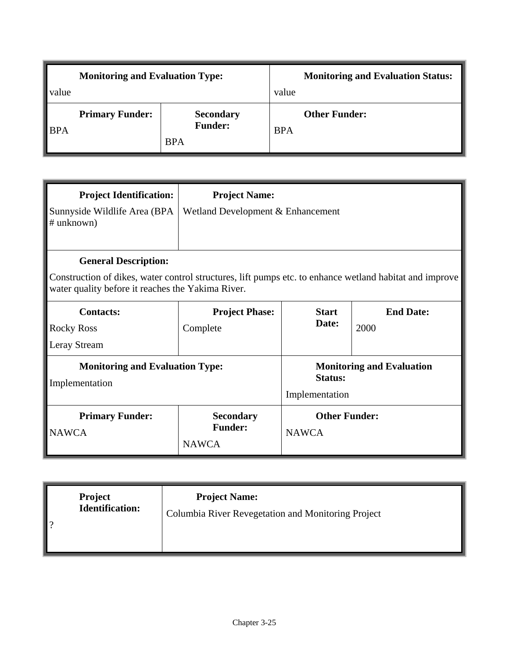| <b>Monitoring and Evaluation Type:</b> |                        |                                                  | <b>Monitoring and Evaluation Status:</b> |                      |
|----------------------------------------|------------------------|--------------------------------------------------|------------------------------------------|----------------------|
| value                                  |                        |                                                  | value                                    |                      |
| $\blacksquare$ BPA                     | <b>Primary Funder:</b> | <b>Secondary</b><br><b>Funder:</b><br><b>BPA</b> | <b>BPA</b>                               | <b>Other Funder:</b> |

| <b>Project Identification:</b><br>Sunnyside Wildlife Area (BPA<br># unknown) | <b>Project Name:</b><br>Wetland Development & Enhancement                                                                                                    |                                      |                                  |  |  |
|------------------------------------------------------------------------------|--------------------------------------------------------------------------------------------------------------------------------------------------------------|--------------------------------------|----------------------------------|--|--|
| <b>General Description:</b>                                                  | Construction of dikes, water control structures, lift pumps etc. to enhance wetland habitat and improve<br>water quality before it reaches the Yakima River. |                                      |                                  |  |  |
| <b>Contacts:</b><br><b>Rocky Ross</b><br>Leray Stream                        | <b>Project Phase:</b><br>Complete                                                                                                                            | <b>Start</b><br>Date:                | <b>End Date:</b><br>2000         |  |  |
| <b>Monitoring and Evaluation Type:</b><br>Implementation                     |                                                                                                                                                              | <b>Status:</b><br>Implementation     | <b>Monitoring and Evaluation</b> |  |  |
| <b>Primary Funder:</b><br><b>NAWCA</b>                                       | <b>Secondary</b><br><b>Funder:</b><br><b>NAWCA</b>                                                                                                           | <b>Other Funder:</b><br><b>NAWCA</b> |                                  |  |  |

| <b>Project</b><br><b>Identification:</b><br>ാ | <b>Project Name:</b><br>Columbia River Revegetation and Monitoring Project |
|-----------------------------------------------|----------------------------------------------------------------------------|
|-----------------------------------------------|----------------------------------------------------------------------------|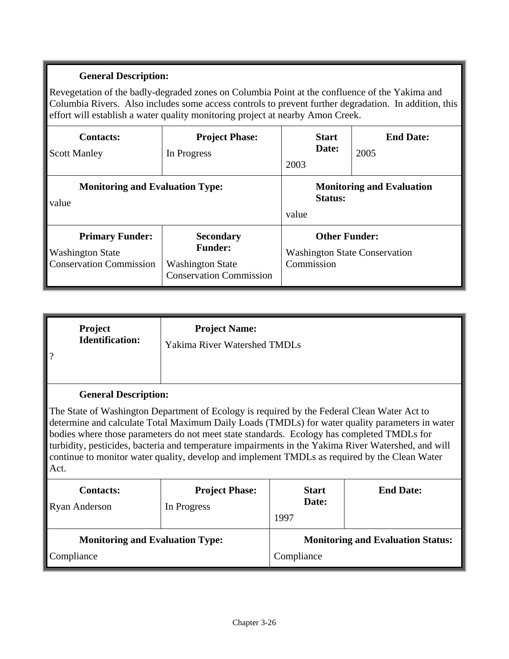Revegetation of the badly-degraded zones on Columbia Point at the confluence of the Yakima and Columbia Rivers. Also includes some access controls to prevent further degradation. In addition, this effort will establish a water quality monitoring project at nearby Amon Creek.

| <b>Contacts:</b><br><b>Scott Manley</b>                                                                                                                                                | <b>Project Phase:</b><br>In Progress | <b>Start</b><br>Date:<br>2003                                              | <b>End Date:</b><br>2005 |
|----------------------------------------------------------------------------------------------------------------------------------------------------------------------------------------|--------------------------------------|----------------------------------------------------------------------------|--------------------------|
| <b>Monitoring and Evaluation Type:</b><br>value                                                                                                                                        |                                      | <b>Monitoring and Evaluation</b><br>Status:<br>value                       |                          |
| <b>Primary Funder:</b><br><b>Secondary</b><br><b>Funder:</b><br><b>Washington State</b><br><b>Conservation Commission</b><br><b>Washington State</b><br><b>Conservation Commission</b> |                                      | <b>Other Funder:</b><br><b>Washington State Conservation</b><br>Commission |                          |

| <b>Project</b><br><b>Identification:</b> | <b>Project Name:</b><br><b>Yakima River Watershed TMDLs</b> |
|------------------------------------------|-------------------------------------------------------------|
| <b>General Description:</b>              |                                                             |

The State of Washington Department of Ecology is required by the Federal Clean Water Act to determine and calculate Total Maximum Daily Loads (TMDLs) for water quality parameters in water bodies where those parameters do not meet state standards. Ecology has completed TMDLs for turbidity, pesticides, bacteria and temperature impairments in the Yakima River Watershed, and will continue to monitor water quality, develop and implement TMDLs as required by the Clean Water Act.

| <b>Contacts:</b><br><b>Ryan Anderson</b> | <b>Project Phase:</b><br>In Progress | 1997       | <b>Start</b><br>Date: | <b>End Date:</b>                         |
|------------------------------------------|--------------------------------------|------------|-----------------------|------------------------------------------|
| <b>Monitoring and Evaluation Type:</b>   |                                      |            |                       | <b>Monitoring and Evaluation Status:</b> |
| Compliance                               |                                      | Compliance |                       |                                          |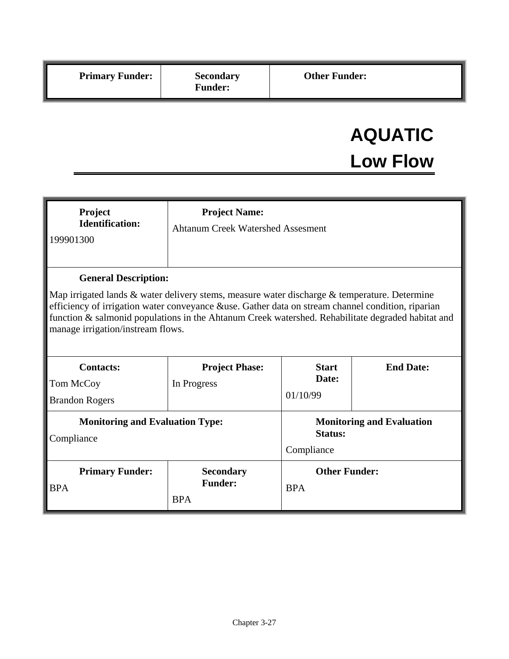# **AQUATIC Low Flow**

| Project<br><b>Identification:</b><br>199901300                                                                                                                                                                                                                                                                                                                                   | <b>Project Name:</b><br><b>Ahtanum Creek Watershed Assesment</b> |                                                                  |                  |  |
|----------------------------------------------------------------------------------------------------------------------------------------------------------------------------------------------------------------------------------------------------------------------------------------------------------------------------------------------------------------------------------|------------------------------------------------------------------|------------------------------------------------------------------|------------------|--|
| <b>General Description:</b><br>Map irrigated lands $\&$ water delivery stems, measure water discharge $\&$ temperature. Determine<br>efficiency of irrigation water conveyance &use. Gather data on stream channel condition, riparian<br>function & salmonid populations in the Ahtanum Creek watershed. Rehabilitate degraded habitat and<br>manage irrigation/instream flows. |                                                                  |                                                                  |                  |  |
| <b>Contacts:</b><br>Tom McCoy<br><b>Brandon Rogers</b>                                                                                                                                                                                                                                                                                                                           | <b>Project Phase:</b><br>In Progress                             | <b>Start</b><br>Date:<br>01/10/99                                | <b>End Date:</b> |  |
| <b>Monitoring and Evaluation Type:</b><br>Compliance                                                                                                                                                                                                                                                                                                                             |                                                                  | <b>Monitoring and Evaluation</b><br><b>Status:</b><br>Compliance |                  |  |
| <b>Primary Funder:</b><br><b>BPA</b>                                                                                                                                                                                                                                                                                                                                             | <b>Secondary</b><br><b>Funder:</b><br><b>BPA</b>                 | <b>Other Funder:</b><br><b>BPA</b>                               |                  |  |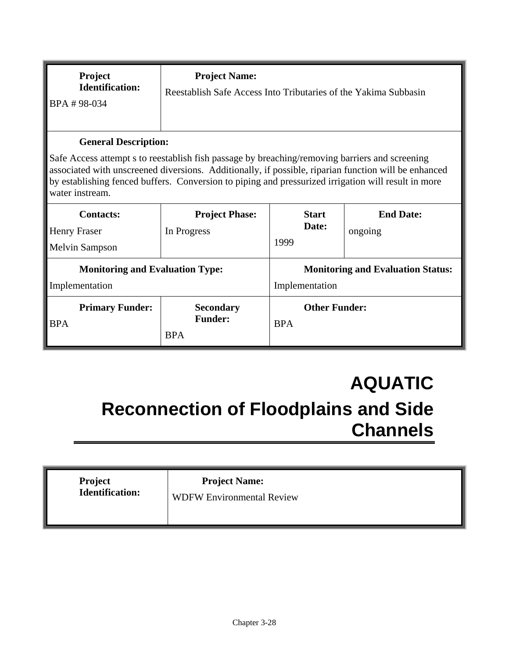| Project<br><b>Identification:</b><br>BPA #98-034                                                                                                                                                                                                                                                                                                                | <b>Project Name:</b><br>Reestablish Safe Access Into Tributaries of the Yakima Subbasin |                                                            |                             |  |
|-----------------------------------------------------------------------------------------------------------------------------------------------------------------------------------------------------------------------------------------------------------------------------------------------------------------------------------------------------------------|-----------------------------------------------------------------------------------------|------------------------------------------------------------|-----------------------------|--|
| <b>General Description:</b><br>Safe Access attempt s to reestablish fish passage by breaching/removing barriers and screening<br>associated with unscreened diversions. Additionally, if possible, riparian function will be enhanced<br>by establishing fenced buffers. Conversion to piping and pressurized irrigation will result in more<br>water instream. |                                                                                         |                                                            |                             |  |
| <b>Contacts:</b><br><b>Henry Fraser</b><br><b>Melvin Sampson</b>                                                                                                                                                                                                                                                                                                | <b>Project Phase:</b><br>In Progress                                                    | <b>Start</b><br>Date:<br>1999                              | <b>End Date:</b><br>ongoing |  |
| <b>Monitoring and Evaluation Type:</b><br>Implementation                                                                                                                                                                                                                                                                                                        |                                                                                         | <b>Monitoring and Evaluation Status:</b><br>Implementation |                             |  |
| <b>Primary Funder:</b><br><b>BPA</b>                                                                                                                                                                                                                                                                                                                            | <b>Secondary</b><br><b>Funder:</b><br><b>BPA</b>                                        | <b>Other Funder:</b><br><b>BPA</b>                         |                             |  |

## **AQUATIC Reconnection of Floodplains and Side Channels**

| Project<br>Identification: | <b>Project Name:</b><br><b>WDFW Environmental Review</b> |
|----------------------------|----------------------------------------------------------|
|                            |                                                          |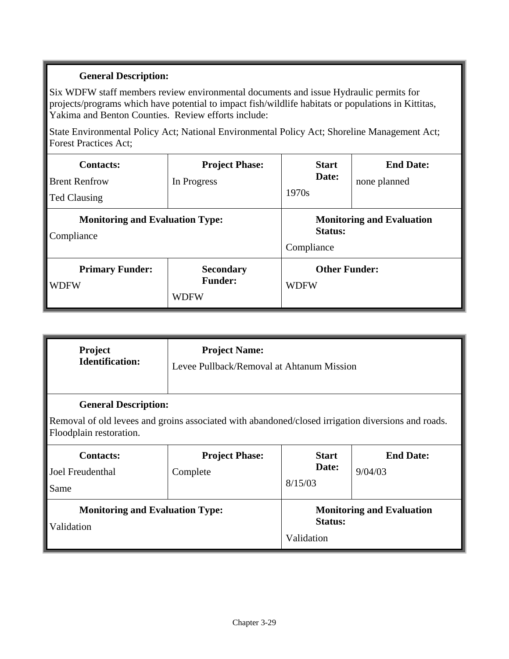Six WDFW staff members review environmental documents and issue Hydraulic permits for projects/programs which have potential to impact fish/wildlife habitats or populations in Kittitas, Yakima and Benton Counties. Review efforts include:

State Environmental Policy Act; National Environmental Policy Act; Shoreline Management Act; Forest Practices Act;

| <b>Contacts:</b><br><b>Brent Renfrow</b><br><b>Ted Clausing</b> | <b>Project Phase:</b><br>In Progress              | <b>Start</b><br>Date:<br>1970s                            | <b>End Date:</b><br>none planned |
|-----------------------------------------------------------------|---------------------------------------------------|-----------------------------------------------------------|----------------------------------|
| <b>Monitoring and Evaluation Type:</b><br>Compliance            |                                                   | <b>Monitoring and Evaluation</b><br>Status:<br>Compliance |                                  |
| <b>Primary Funder:</b><br><b>WDFW</b>                           | <b>Secondary</b><br><b>Funder:</b><br><b>WDFW</b> | <b>Other Funder:</b><br><b>WDFW</b>                       |                                  |

| Project<br><b>Identification:</b>                                                                                                                            | <b>Project Name:</b><br>Levee Pullback/Removal at Ahtanum Mission |                                  |                                  |  |
|--------------------------------------------------------------------------------------------------------------------------------------------------------------|-------------------------------------------------------------------|----------------------------------|----------------------------------|--|
| <b>General Description:</b><br>Removal of old levees and groins associated with abandoned/closed irrigation diversions and roads.<br>Floodplain restoration. |                                                                   |                                  |                                  |  |
| <b>Contacts:</b><br>Joel Freudenthal<br>Same                                                                                                                 | <b>Project Phase:</b><br>Complete                                 | <b>Start</b><br>Date:<br>8/15/03 | <b>End Date:</b><br>9/04/03      |  |
| <b>Monitoring and Evaluation Type:</b><br>Validation<br>Validation                                                                                           |                                                                   | <b>Status:</b>                   | <b>Monitoring and Evaluation</b> |  |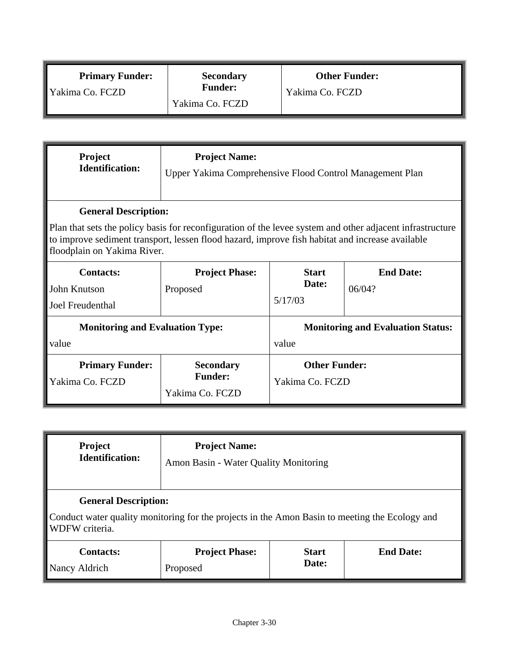| <b>Primary Funder:</b> | <b>Secondary</b> | <b>Other Funder:</b> |
|------------------------|------------------|----------------------|
| ∥ Yakima Co. FCZD      | <b>Funder:</b>   | Yakima Co. FCZD      |
|                        | Yakima Co. FCZD  |                      |

| <b>Project</b><br><b>Identification:</b>  | <b>Project Name:</b><br>Upper Yakima Comprehensive Flood Control Management Plan                                                                                                                                                            |                                         |                                          |  |  |
|-------------------------------------------|---------------------------------------------------------------------------------------------------------------------------------------------------------------------------------------------------------------------------------------------|-----------------------------------------|------------------------------------------|--|--|
| <b>General Description:</b>               |                                                                                                                                                                                                                                             |                                         |                                          |  |  |
|                                           | Plan that sets the policy basis for reconfiguration of the levee system and other adjacent infrastructure<br>to improve sediment transport, lessen flood hazard, improve fish habitat and increase available<br>floodplain on Yakima River. |                                         |                                          |  |  |
| <b>Contacts:</b>                          | <b>Start</b><br><b>End Date:</b><br><b>Project Phase:</b>                                                                                                                                                                                   |                                         |                                          |  |  |
| John Knutson                              | Proposed                                                                                                                                                                                                                                    | Date:                                   | 06/04?                                   |  |  |
| Joel Freudenthal                          |                                                                                                                                                                                                                                             | 5/17/03                                 |                                          |  |  |
| <b>Monitoring and Evaluation Type:</b>    |                                                                                                                                                                                                                                             |                                         | <b>Monitoring and Evaluation Status:</b> |  |  |
| value                                     |                                                                                                                                                                                                                                             | value                                   |                                          |  |  |
| <b>Primary Funder:</b><br>Yakima Co. FCZD | <b>Secondary</b><br><b>Funder:</b><br>Yakima Co. FCZD                                                                                                                                                                                       | <b>Other Funder:</b><br>Yakima Co. FCZD |                                          |  |  |

| <b>Project</b>                                                                                                                                  | <b>Project Name:</b>                  |              |                  |
|-------------------------------------------------------------------------------------------------------------------------------------------------|---------------------------------------|--------------|------------------|
| <b>Identification:</b>                                                                                                                          | Amon Basin - Water Quality Monitoring |              |                  |
| <b>General Description:</b><br>Conduct water quality monitoring for the projects in the Amon Basin to meeting the Ecology and<br>WDFW criteria. |                                       |              |                  |
| <b>Contacts:</b>                                                                                                                                | <b>Project Phase:</b>                 | <b>Start</b> | <b>End Date:</b> |
| Nancy Aldrich                                                                                                                                   | Proposed                              | Date:        |                  |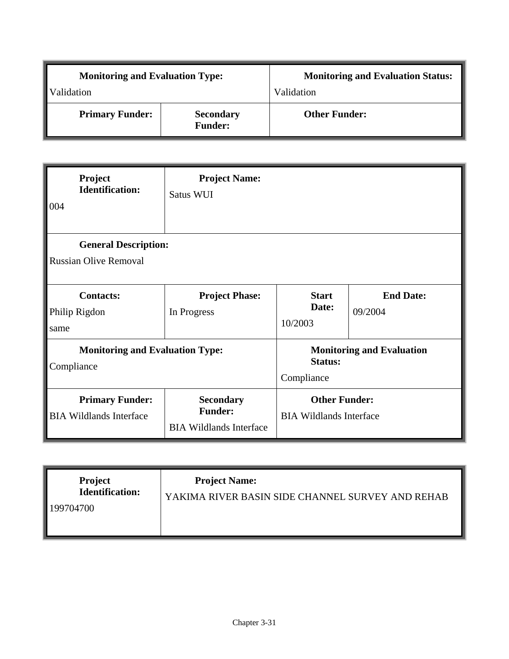| <b>Monitoring and Evaluation Type:</b> |                                    | <b>Monitoring and Evaluation Status:</b> |  |
|----------------------------------------|------------------------------------|------------------------------------------|--|
| Validation                             |                                    | Validation                               |  |
| <b>Primary Funder:</b>                 | <b>Secondary</b><br><b>Funder:</b> | <b>Other Funder:</b>                     |  |

| Project<br><b>Identification:</b><br>004                 | <b>Project Name:</b><br>Satus WUI                                    |                                                        |                                  |
|----------------------------------------------------------|----------------------------------------------------------------------|--------------------------------------------------------|----------------------------------|
| <b>General Description:</b>                              |                                                                      |                                                        |                                  |
| <b>Russian Olive Removal</b>                             |                                                                      |                                                        |                                  |
| <b>Contacts:</b>                                         | <b>Project Phase:</b>                                                | <b>Start</b>                                           | <b>End Date:</b>                 |
| Philip Rigdon<br>same                                    | In Progress                                                          | Date:<br>10/2003                                       | 09/2004                          |
| <b>Monitoring and Evaluation Type:</b><br>Compliance     |                                                                      | <b>Status:</b><br>Compliance                           | <b>Monitoring and Evaluation</b> |
| <b>Primary Funder:</b><br><b>BIA Wildlands Interface</b> | <b>Secondary</b><br><b>Funder:</b><br><b>BIA Wildlands Interface</b> | <b>Other Funder:</b><br><b>BIA Wildlands Interface</b> |                                  |

| <b>Project</b><br><b>Identification:</b><br>199704700 | <b>Project Name:</b><br>YAKIMA RIVER BASIN SIDE CHANNEL SURVEY AND REHAB |
|-------------------------------------------------------|--------------------------------------------------------------------------|
|-------------------------------------------------------|--------------------------------------------------------------------------|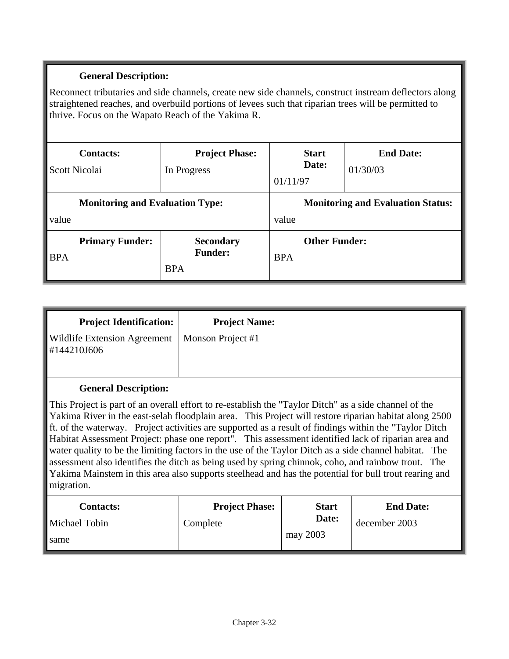Reconnect tributaries and side channels, create new side channels, construct instream deflectors along straightened reaches, and overbuild portions of levees such that riparian trees will be permitted to thrive. Focus on the Wapato Reach of the Yakima R.

| <b>Contacts:</b><br>Scott Nicolai               | <b>Project Phase:</b><br>In Progress             | <b>Start</b><br>Date:<br>01/11/97                 | <b>End Date:</b><br>01/30/03 |
|-------------------------------------------------|--------------------------------------------------|---------------------------------------------------|------------------------------|
| <b>Monitoring and Evaluation Type:</b><br>value |                                                  | <b>Monitoring and Evaluation Status:</b><br>value |                              |
| <b>Primary Funder:</b><br><b>BPA</b>            | <b>Secondary</b><br><b>Funder:</b><br><b>BPA</b> | <b>Other Funder:</b><br><b>BPA</b>                |                              |

| <b>Project Identification:</b>                     | <b>Project Name:</b> |
|----------------------------------------------------|----------------------|
| <b>Wildlife Extension Agreement</b><br>#144210J606 | Monson Project #1    |
| <b>General Description:</b>                        |                      |

This Project is part of an overall effort to re-establish the "Taylor Ditch" as a side channel of the Yakima River in the east-selah floodplain area. This Project will restore riparian habitat along 2500 ft. of the waterway. Project activities are supported as a result of findings within the "Taylor Ditch Habitat Assessment Project: phase one report". This assessment identified lack of riparian area and water quality to be the limiting factors in the use of the Taylor Ditch as a side channel habitat. The assessment also identifies the ditch as being used by spring chinnok, coho, and rainbow trout. The Yakima Mainstem in this area also supports steelhead and has the potential for bull trout rearing and migration.

| <b>Contacts:</b> | <b>Project Phase:</b> | <b>Start</b> | <b>End Date:</b> |
|------------------|-----------------------|--------------|------------------|
| Michael Tobin    | Complete              | Date:        | december 2003    |
| same             |                       | may 2003     |                  |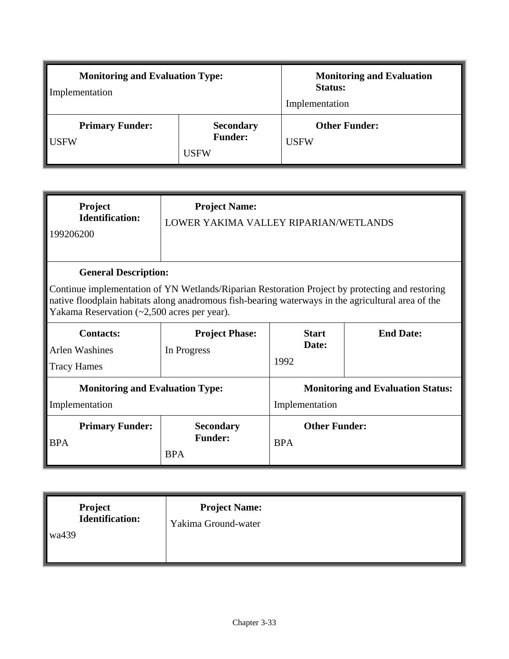| <b>Monitoring and Evaluation Type:</b><br>Implementation |                                                   | <b>Monitoring and Evaluation</b><br><b>Status:</b><br>Implementation |  |
|----------------------------------------------------------|---------------------------------------------------|----------------------------------------------------------------------|--|
| <b>Primary Funder:</b><br><b>USFW</b>                    | <b>Secondary</b><br><b>Funder:</b><br><b>USFW</b> | <b>Other Funder:</b><br><b>USFW</b>                                  |  |

| <b>Project</b><br><b>Identification:</b><br>199206200                                                                                                   | <b>Project Name:</b><br>LOWER YAKIMA VALLEY RIPARIAN/WETLANDS                                                                  |                                                            |  |
|---------------------------------------------------------------------------------------------------------------------------------------------------------|--------------------------------------------------------------------------------------------------------------------------------|------------------------------------------------------------|--|
|                                                                                                                                                         | <b>General Description:</b><br>Continue implementation of YN Wetlands/Riparian Restoration Project by protecting and restoring |                                                            |  |
| native floodplain habitats along anadromous fish-bearing waterways in the agricultural area of the<br>Yakama Reservation $(\sim 2,500$ acres per year). |                                                                                                                                |                                                            |  |
| <b>Contacts:</b><br><b>Arlen Washines</b><br><b>Tracy Hames</b>                                                                                         | <b>End Date:</b><br><b>Project Phase:</b><br><b>Start</b><br>Date:<br>In Progress<br>1992                                      |                                                            |  |
| <b>Monitoring and Evaluation Type:</b><br>Implementation                                                                                                |                                                                                                                                | <b>Monitoring and Evaluation Status:</b><br>Implementation |  |
| <b>Primary Funder:</b><br><b>BPA</b>                                                                                                                    | <b>Secondary</b><br><b>Funder:</b><br><b>BPA</b>                                                                               | <b>Other Funder:</b><br><b>BPA</b>                         |  |

| <b>Project</b><br>Identification:<br>wa439 | <b>Project Name:</b><br>Yakima Ground-water |  |
|--------------------------------------------|---------------------------------------------|--|
|--------------------------------------------|---------------------------------------------|--|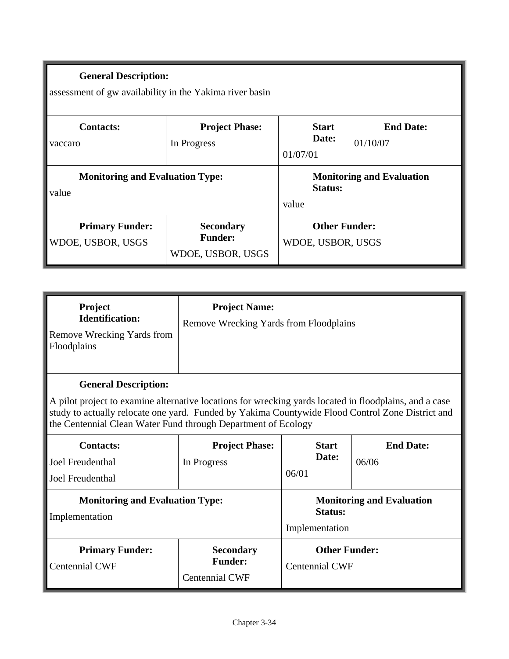assessment of gw availability in the Yakima river basin

| <b>Contacts:</b><br>vaccaro                     | <b>Project Phase:</b><br>In Progress                    | <b>Start</b><br>Date:<br>01/07/01                    | <b>End Date:</b><br>01/10/07 |
|-------------------------------------------------|---------------------------------------------------------|------------------------------------------------------|------------------------------|
| <b>Monitoring and Evaluation Type:</b><br>value |                                                         | <b>Monitoring and Evaluation</b><br>Status:<br>value |                              |
| <b>Primary Funder:</b><br>WDOE, USBOR, USGS     | <b>Secondary</b><br><b>Funder:</b><br>WDOE, USBOR, USGS | <b>Other Funder:</b><br>WDOE, USBOR, USGS            |                              |

| <b>Project</b><br><b>Identification:</b><br><b>Remove Wrecking Yards from</b><br>Floodplains | <b>Project Name:</b><br>Remove Wrecking Yards from Floodplains                                                                                                                                            |
|----------------------------------------------------------------------------------------------|-----------------------------------------------------------------------------------------------------------------------------------------------------------------------------------------------------------|
| <b>General Description:</b>                                                                  | A pilot project to examine alternative locations for wrecking yards located in floodplains, and a case<br>study to actually relocate one yard Eunded by Vakima Countywide Flood Control Zone District and |

study to actually relocate one yard. Funded by Yakima Countywide Flood Control Zone District and the Centennial Clean Water Fund through Department of Ecology

| <b>Contacts:</b><br>Joel Freudenthal<br>Joel Freudenthal | <b>Project Phase:</b><br>In Progress                        | <b>Start</b><br>Date:<br>06/01                                | <b>End Date:</b><br>06/06 |
|----------------------------------------------------------|-------------------------------------------------------------|---------------------------------------------------------------|---------------------------|
| <b>Monitoring and Evaluation Type:</b><br>Implementation |                                                             | <b>Monitoring and Evaluation</b><br>Status:<br>Implementation |                           |
| <b>Primary Funder:</b><br><b>Centennial CWF</b>          | <b>Secondary</b><br><b>Funder:</b><br><b>Centennial CWF</b> | Centennial CWF                                                | <b>Other Funder:</b>      |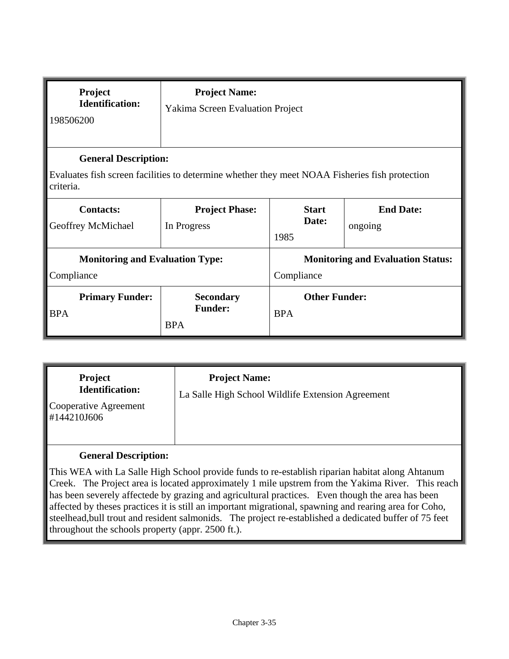| Project<br><b>Identification:</b><br>198506200                                                                                | <b>Project Name:</b><br><b>Yakima Screen Evaluation Project</b> |                                                        |                             |
|-------------------------------------------------------------------------------------------------------------------------------|-----------------------------------------------------------------|--------------------------------------------------------|-----------------------------|
| <b>General Description:</b><br>Evaluates fish screen facilities to determine whether they meet NOAA Fisheries fish protection |                                                                 |                                                        |                             |
| criteria.<br><b>Contacts:</b><br>Geoffrey McMichael                                                                           | <b>Project Phase:</b><br>In Progress                            | <b>Start</b><br>Date:<br>1985                          | <b>End Date:</b><br>ongoing |
| <b>Monitoring and Evaluation Type:</b><br>Compliance                                                                          |                                                                 | <b>Monitoring and Evaluation Status:</b><br>Compliance |                             |
| <b>Primary Funder:</b><br><b>BPA</b>                                                                                          | <b>Secondary</b><br><b>Funder:</b><br><b>BPA</b>                | <b>Other Funder:</b><br><b>BPA</b>                     |                             |

| <b>Project</b><br><b>Project Name:</b><br><b>Identification:</b><br>La Salle High School Wildlife Extension Agreement<br>Cooperative Agreement<br>#144210J606 |
|---------------------------------------------------------------------------------------------------------------------------------------------------------------|
|---------------------------------------------------------------------------------------------------------------------------------------------------------------|

This WEA with La Salle High School provide funds to re-establish riparian habitat along Ahtanum Creek. The Project area is located approximately 1 mile upstrem from the Yakima River. This reach has been severely affectede by grazing and agricultural practices. Even though the area has been affected by theses practices it is still an important migrational, spawning and rearing area for Coho, steelhead,bull trout and resident salmonids. The project re-established a dedicated buffer of 75 feet throughout the schools property (appr. 2500 ft.).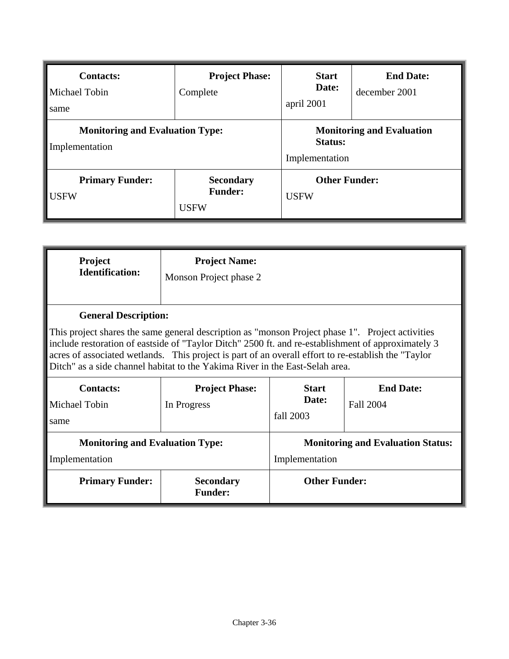| <b>Contacts:</b><br>Michael Tobin<br>same                | <b>Project Phase:</b><br>Complete                 | <b>Start</b><br>Date:<br>april 2001                           | <b>End Date:</b><br>december 2001 |
|----------------------------------------------------------|---------------------------------------------------|---------------------------------------------------------------|-----------------------------------|
| <b>Monitoring and Evaluation Type:</b><br>Implementation |                                                   | <b>Monitoring and Evaluation</b><br>Status:<br>Implementation |                                   |
| <b>Primary Funder:</b><br><b>USFW</b>                    | <b>Secondary</b><br><b>Funder:</b><br><b>USFW</b> | <b>Other Funder:</b><br><b>USFW</b>                           |                                   |

| Project<br><b>Identification:</b>                                                                                                                                                                                                                                                                                                                                                                                            | <b>Project Name:</b><br>Monson Project phase 2 |                                                                            |  |
|------------------------------------------------------------------------------------------------------------------------------------------------------------------------------------------------------------------------------------------------------------------------------------------------------------------------------------------------------------------------------------------------------------------------------|------------------------------------------------|----------------------------------------------------------------------------|--|
| <b>General Description:</b><br>This project shares the same general description as "monson Project phase 1". Project activities<br>include restoration of eastside of "Taylor Ditch" 2500 ft. and re-establishment of approximately 3<br>acres of associated wetlands. This project is part of an overall effort to re-establish the "Taylor<br>Ditch" as a side channel habitat to the Yakima River in the East-Selah area. |                                                |                                                                            |  |
| <b>Contacts:</b><br>Michael Tobin<br>same                                                                                                                                                                                                                                                                                                                                                                                    | <b>Project Phase:</b><br>In Progress           | <b>End Date:</b><br><b>Start</b><br>Date:<br><b>Fall 2004</b><br>fall 2003 |  |
| <b>Monitoring and Evaluation Type:</b><br>Implementation                                                                                                                                                                                                                                                                                                                                                                     |                                                | <b>Monitoring and Evaluation Status:</b><br>Implementation                 |  |
| <b>Primary Funder:</b>                                                                                                                                                                                                                                                                                                                                                                                                       | <b>Secondary</b><br><b>Funder:</b>             | <b>Other Funder:</b>                                                       |  |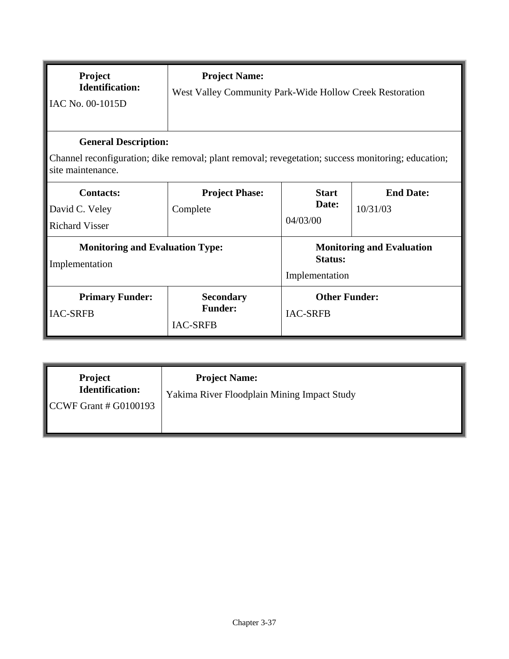| Project<br><b>Identification:</b><br>IAC No. 00-1015D                                                                                                  | <b>Project Name:</b><br>West Valley Community Park-Wide Hollow Creek Restoration |                                                                      |                              |
|--------------------------------------------------------------------------------------------------------------------------------------------------------|----------------------------------------------------------------------------------|----------------------------------------------------------------------|------------------------------|
| <b>General Description:</b><br>Channel reconfiguration; dike removal; plant removal; revegetation; success monitoring; education;<br>site maintenance. |                                                                                  |                                                                      |                              |
| <b>Contacts:</b><br>David C. Veley<br><b>Richard Visser</b>                                                                                            | <b>Project Phase:</b><br>Complete                                                | <b>Start</b><br>Date:<br>04/03/00                                    | <b>End Date:</b><br>10/31/03 |
| <b>Monitoring and Evaluation Type:</b><br>Implementation                                                                                               |                                                                                  | <b>Monitoring and Evaluation</b><br><b>Status:</b><br>Implementation |                              |
| <b>Primary Funder:</b><br><b>IAC-SRFB</b>                                                                                                              | <b>Secondary</b><br><b>Funder:</b><br><b>IAC-SRFB</b>                            | <b>Other Funder:</b><br><b>IAC-SRFB</b>                              |                              |

| Project<br><b>Identification:</b><br>$\textcolor{red}{\textbf{\textcolor{blue}{\textbf{CCWF}}}$ Grant # G0100193 | <b>Project Name:</b><br>Yakima River Floodplain Mining Impact Study |
|------------------------------------------------------------------------------------------------------------------|---------------------------------------------------------------------|
|                                                                                                                  |                                                                     |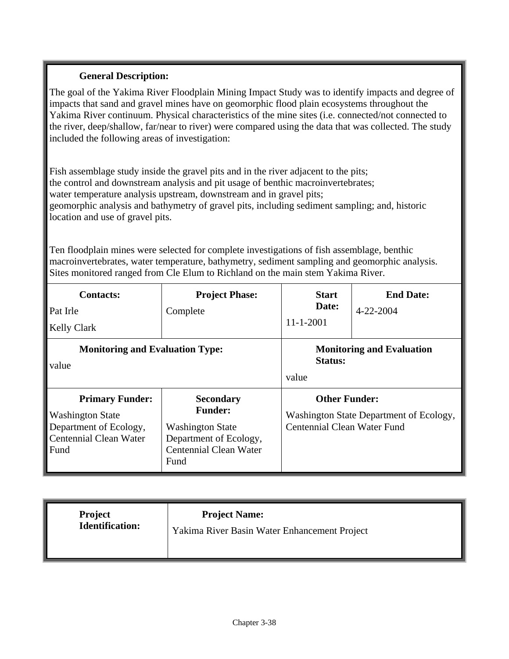The goal of the Yakima River Floodplain Mining Impact Study was to identify impacts and degree of impacts that sand and gravel mines have on geomorphic flood plain ecosystems throughout the Yakima River continuum. Physical characteristics of the mine sites (i.e. connected/not connected to the river, deep/shallow, far/near to river) were compared using the data that was collected. The study included the following areas of investigation:

Fish assemblage study inside the gravel pits and in the river adjacent to the pits; the control and downstream analysis and pit usage of benthic macroinvertebrates; water temperature analysis upstream, downstream and in gravel pits; geomorphic analysis and bathymetry of gravel pits, including sediment sampling; and, historic location and use of gravel pits.

Ten floodplain mines were selected for complete investigations of fish assemblage, benthic macroinvertebrates, water temperature, bathymetry, sediment sampling and geomorphic analysis. Sites monitored ranged from Cle Elum to Richland on the main stem Yakima River.

| <b>Contacts:</b>                                                                                                     | <b>Project Phase:</b>                                                                                                            | <b>Start</b>                                                                                   | <b>End Date:</b> |
|----------------------------------------------------------------------------------------------------------------------|----------------------------------------------------------------------------------------------------------------------------------|------------------------------------------------------------------------------------------------|------------------|
| Pat Irle                                                                                                             | Complete                                                                                                                         | Date:                                                                                          | 4-22-2004        |
| <b>Kelly Clark</b>                                                                                                   |                                                                                                                                  | $11 - 1 - 2001$                                                                                |                  |
| <b>Monitoring and Evaluation Type:</b><br>value                                                                      |                                                                                                                                  | <b>Monitoring and Evaluation</b><br>Status:<br>value                                           |                  |
| <b>Primary Funder:</b><br><b>Washington State</b><br>Department of Ecology,<br><b>Centennial Clean Water</b><br>Fund | <b>Secondary</b><br><b>Funder:</b><br><b>Washington State</b><br>Department of Ecology,<br><b>Centennial Clean Water</b><br>Fund | <b>Other Funder:</b><br>Washington State Department of Ecology,<br>Centennial Clean Water Fund |                  |

| <b>Project</b><br>Identification: | <b>Project Name:</b><br>Yakima River Basin Water Enhancement Project |  |
|-----------------------------------|----------------------------------------------------------------------|--|
|-----------------------------------|----------------------------------------------------------------------|--|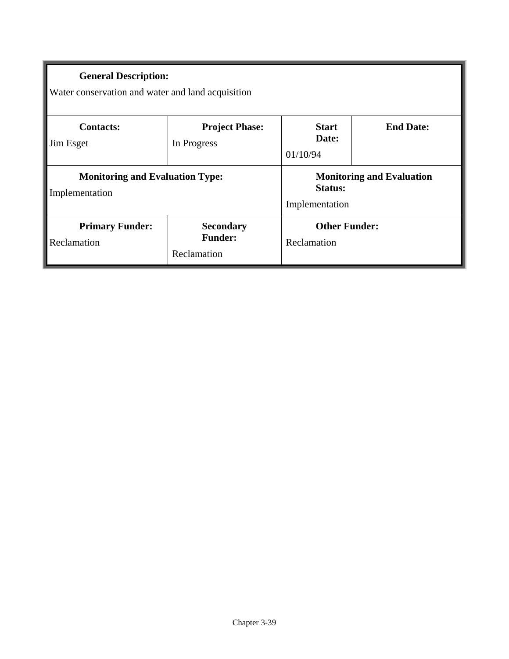| <b>General Description:</b><br>Water conservation and water and land acquisition |                                                   |                                     |                                  |
|----------------------------------------------------------------------------------|---------------------------------------------------|-------------------------------------|----------------------------------|
| <b>Contacts:</b><br>Jim Esget                                                    | <b>Project Phase:</b><br>In Progress              | <b>Start</b><br>Date:<br>01/10/94   | <b>End Date:</b>                 |
| <b>Monitoring and Evaluation Type:</b><br>Implementation                         |                                                   | <b>Status:</b><br>Implementation    | <b>Monitoring and Evaluation</b> |
| <b>Primary Funder:</b><br>Reclamation                                            | <b>Secondary</b><br><b>Funder:</b><br>Reclamation | <b>Other Funder:</b><br>Reclamation |                                  |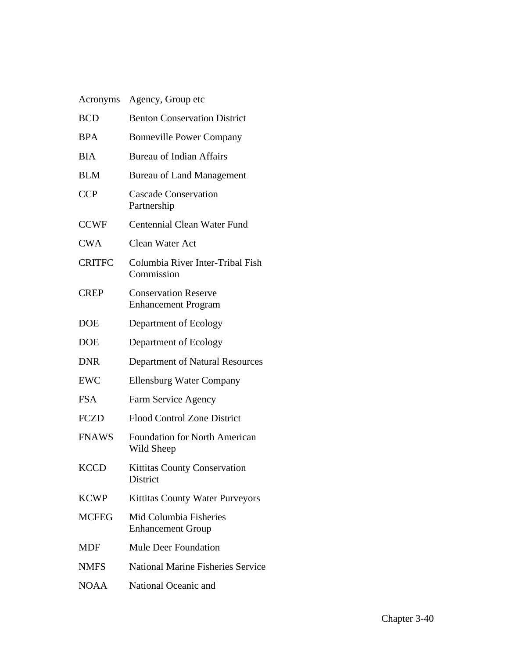| Acronyms      | Agency, Group etc                                         |
|---------------|-----------------------------------------------------------|
| <b>BCD</b>    | <b>Benton Conservation District</b>                       |
| <b>BPA</b>    | <b>Bonneville Power Company</b>                           |
| <b>BIA</b>    | <b>Bureau of Indian Affairs</b>                           |
| <b>BLM</b>    | <b>Bureau of Land Management</b>                          |
| <b>CCP</b>    | <b>Cascade Conservation</b><br>Partnership                |
| <b>CCWF</b>   | Centennial Clean Water Fund                               |
| <b>CWA</b>    | <b>Clean Water Act</b>                                    |
| <b>CRITFC</b> | Columbia River Inter-Tribal Fish<br>Commission            |
| <b>CREP</b>   | <b>Conservation Reserve</b><br><b>Enhancement Program</b> |
| <b>DOE</b>    | Department of Ecology                                     |
| <b>DOE</b>    | Department of Ecology                                     |
| <b>DNR</b>    | Department of Natural Resources                           |
| <b>EWC</b>    | <b>Ellensburg Water Company</b>                           |
| <b>FSA</b>    | Farm Service Agency                                       |
| <b>FCZD</b>   | <b>Flood Control Zone District</b>                        |
| <b>FNAWS</b>  | <b>Foundation for North American</b><br>Wild Sheep        |
| <b>KCCD</b>   | Kittitas County Conservation<br><b>District</b>           |
| <b>KCWP</b>   | Kittitas County Water Purveyors                           |
| <b>MCFEG</b>  | Mid Columbia Fisheries<br><b>Enhancement Group</b>        |
| <b>MDF</b>    | <b>Mule Deer Foundation</b>                               |
| <b>NMFS</b>   | <b>National Marine Fisheries Service</b>                  |
| NOAA          | National Oceanic and                                      |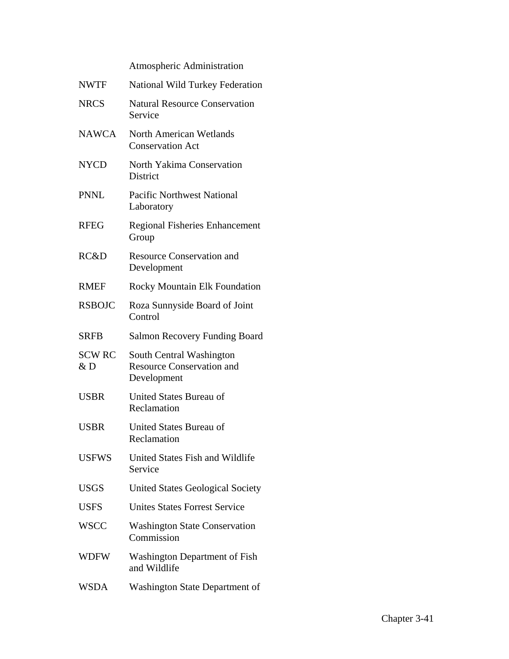Atmospheric Administration

| <b>NWTF</b>         | <b>National Wild Turkey Federation</b>                                      |
|---------------------|-----------------------------------------------------------------------------|
| <b>NRCS</b>         | <b>Natural Resource Conservation</b><br>Service                             |
| <b>NAWCA</b>        | <b>North American Wetlands</b><br><b>Conservation Act</b>                   |
| <b>NYCD</b>         | North Yakima Conservation<br><b>District</b>                                |
| <b>PNNL</b>         | <b>Pacific Northwest National</b><br>Laboratory                             |
| <b>RFEG</b>         | <b>Regional Fisheries Enhancement</b><br>Group                              |
| RC&D                | <b>Resource Conservation and</b><br>Development                             |
| <b>RMEF</b>         | <b>Rocky Mountain Elk Foundation</b>                                        |
| <b>RSBOJC</b>       | Roza Sunnyside Board of Joint<br>Control                                    |
| <b>SRFB</b>         | <b>Salmon Recovery Funding Board</b>                                        |
| <b>SCW RC</b><br>&D | South Central Washington<br><b>Resource Conservation and</b><br>Development |
| <b>USBR</b>         | United States Bureau of<br>Reclamation                                      |
| <b>USBR</b>         | United States Bureau of<br>Reclamation                                      |
| <b>USFWS</b>        | <b>United States Fish and Wildlife</b><br>Service                           |
| <b>USGS</b>         | <b>United States Geological Society</b>                                     |
| <b>USFS</b>         | <b>Unites States Forrest Service</b>                                        |
| <b>WSCC</b>         | <b>Washington State Conservation</b><br>Commission                          |
| <b>WDFW</b>         | Washington Department of Fish<br>and Wildlife                               |
| <b>WSDA</b>         | <b>Washington State Department of</b>                                       |